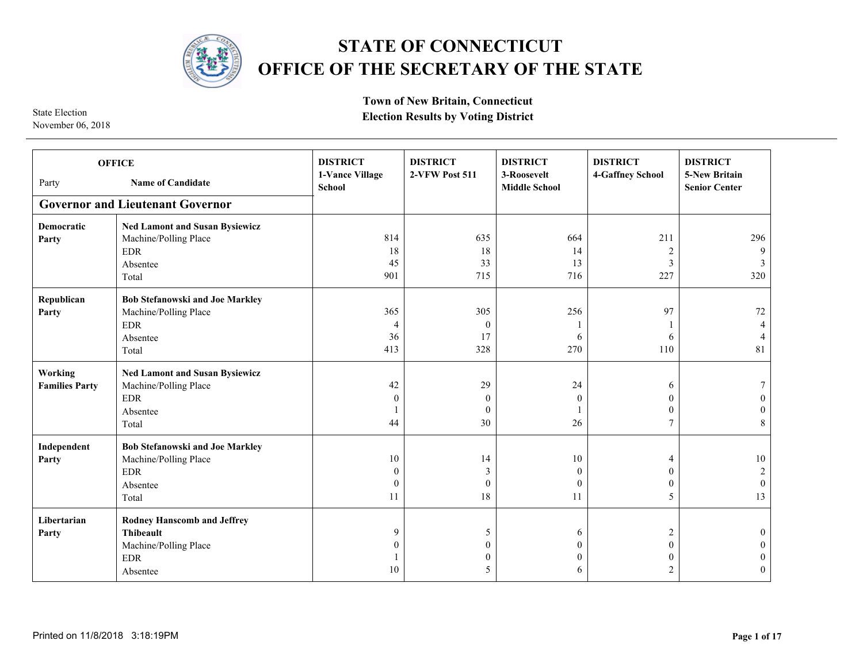

## **STATE OF CONNECTICUT OFFICE OF THE SECRETARY OF THE STATE**

November 06, 2018

**Town of New Britain, Connecticut Election Results by Voting District** 

**Governor and Lieutenant Governor DISTRICT 1-Vance Village School DISTRICT 2-VFW Post 511 DISTRICT 3-Roosevelt Middle School DISTRICT 4-Gaffney School DISTRICT 5-New Britain Senior Center Democratic Party Ned Lamont and Susan Bysiewicz** Machine/Polling Place EDR Absentee Total **Republican Party Bob Stefanowski and Joe Markley** Machine/Polling Place EDR Absentee Total **Working Families Party Ned Lamont and Susan Bysiewicz** Machine/Polling Place EDR Absentee Total  $\Omega$  **Independent Party Bob Stefanowski and Joe Markley** Machine/Polling Place EDR Absentee Total **Libertarian Party Rodney Hanscomb and Jeffrey Thibeault** Machine/Polling Place EDR Absentee  $\theta$  Party **Name of Candidate OFFICE**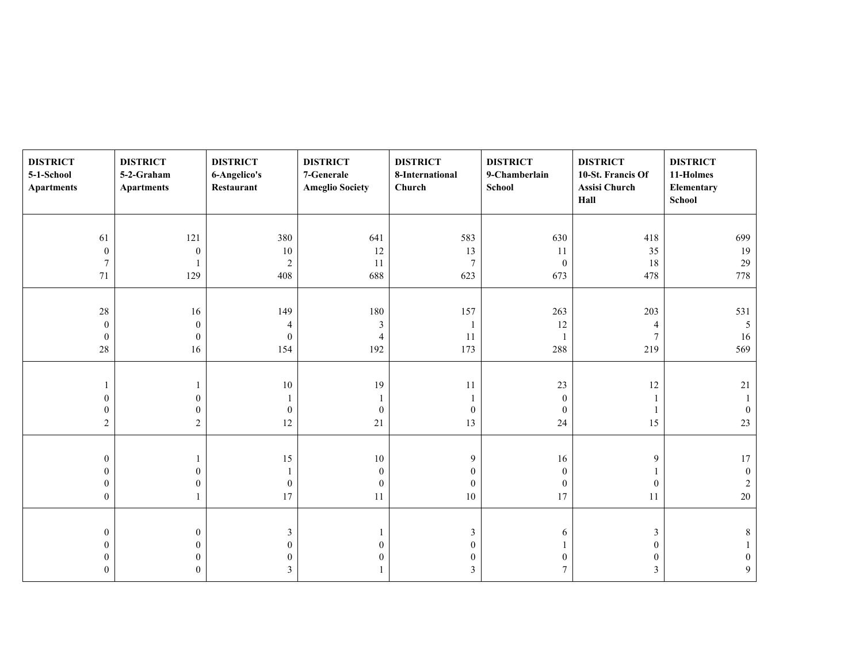| <b>DISTRICT</b><br>5-1-School<br><b>Apartments</b> | <b>DISTRICT</b><br>5-2-Graham<br><b>Apartments</b> | <b>DISTRICT</b><br>6-Angelico's<br>Restaurant | <b>DISTRICT</b><br>7-Generale<br><b>Ameglio Society</b> | <b>DISTRICT</b><br>8-International<br>Church | <b>DISTRICT</b><br>9-Chamberlain<br><b>School</b> | <b>DISTRICT</b><br>10-St. Francis Of<br>Assisi Church<br>Hall | <b>DISTRICT</b><br>11-Holmes<br>Elementary<br>School |
|----------------------------------------------------|----------------------------------------------------|-----------------------------------------------|---------------------------------------------------------|----------------------------------------------|---------------------------------------------------|---------------------------------------------------------------|------------------------------------------------------|
|                                                    |                                                    |                                               |                                                         |                                              |                                                   |                                                               |                                                      |
| 61                                                 | 121                                                | 380                                           | 641                                                     | 583                                          | 630                                               | 418                                                           | 699                                                  |
| $\boldsymbol{0}$                                   | $\boldsymbol{0}$                                   | 10                                            | 12                                                      | 13                                           | 11                                                | 35                                                            | 19                                                   |
| $\boldsymbol{7}$                                   |                                                    | $\sqrt{2}$                                    | 11                                                      | $\overline{7}$                               | $\boldsymbol{0}$                                  | 18                                                            | $29\,$                                               |
| $71\,$                                             | 129                                                | 408                                           | 688                                                     | 623                                          | 673                                               | 478                                                           | 778                                                  |
|                                                    |                                                    |                                               |                                                         |                                              |                                                   |                                                               |                                                      |
| $28\,$                                             | 16                                                 | 149                                           | 180                                                     | 157                                          | 263                                               | 203                                                           | 531                                                  |
| $\boldsymbol{0}$                                   | $\boldsymbol{0}$                                   | $\overline{4}$                                | $\mathfrak z$                                           |                                              | 12                                                | $\overline{4}$                                                | $\mathfrak{H}$                                       |
| $\boldsymbol{0}$                                   | $\boldsymbol{0}$                                   | $\mathbf{0}$                                  | $\overline{4}$                                          | 11                                           | 1                                                 | $\overline{7}$                                                | 16                                                   |
| $28\,$                                             | 16                                                 | 154                                           | 192                                                     | 173                                          | 288                                               | 219                                                           | 569                                                  |
|                                                    |                                                    |                                               |                                                         |                                              |                                                   |                                                               |                                                      |
| 1                                                  |                                                    | 10                                            | 19                                                      | 11                                           | 23                                                | $12\,$                                                        | $21\,$                                               |
| $\mathbf{0}$                                       | $\boldsymbol{0}$                                   |                                               | 1                                                       |                                              | $\mathbf{0}$                                      | 1                                                             |                                                      |
| $\boldsymbol{0}$                                   | $\boldsymbol{0}$                                   | $\mathbf{0}$                                  | $\boldsymbol{0}$                                        | $\overline{0}$                               | $\mathbf{0}$                                      | $\mathbf{1}$                                                  | $\mathbf{0}$                                         |
| $\sqrt{2}$                                         | $\overline{c}$                                     | $12\,$                                        | $21\,$                                                  | 13                                           | 24                                                | 15                                                            | $23\,$                                               |
|                                                    |                                                    |                                               |                                                         |                                              |                                                   |                                                               |                                                      |
| $\boldsymbol{0}$                                   | 1                                                  | 15                                            | $10\,$                                                  | 9                                            | 16                                                | 9                                                             | $17\,$                                               |
| $\boldsymbol{0}$                                   | $\boldsymbol{0}$                                   |                                               | $\boldsymbol{0}$                                        | $\overline{0}$                               | $\boldsymbol{0}$                                  | 1                                                             | $\boldsymbol{0}$                                     |
| $\boldsymbol{0}$                                   | $\boldsymbol{0}$                                   | $\boldsymbol{0}$                              | $\boldsymbol{0}$                                        | $\bf{0}$                                     | $\boldsymbol{0}$                                  | $\boldsymbol{0}$                                              | $\sqrt{2}$                                           |
| $\boldsymbol{0}$                                   | 1                                                  | 17                                            | 11                                                      | $10\,$                                       | 17                                                | 11                                                            | $20\,$                                               |
|                                                    |                                                    |                                               |                                                         |                                              |                                                   |                                                               |                                                      |
| $\boldsymbol{0}$                                   | $\boldsymbol{0}$                                   | $\mathfrak{Z}$                                | 1                                                       | 3                                            | 6                                                 | $\mathfrak{Z}$                                                | 8                                                    |
| $\boldsymbol{0}$                                   | $\boldsymbol{0}$                                   | $\mathbf{0}$                                  | $\boldsymbol{0}$                                        | $\overline{0}$                               |                                                   | $\boldsymbol{0}$                                              |                                                      |
| $\boldsymbol{0}$                                   | $\boldsymbol{0}$                                   | $\theta$                                      | $\boldsymbol{0}$                                        | $\overline{0}$                               | $\mathbf{0}$                                      | $\boldsymbol{0}$                                              | $\bf{0}$                                             |
| $\overline{0}$                                     | $\Omega$                                           | 3                                             |                                                         | 3                                            | $\overline{7}$                                    | $\mathfrak{Z}$                                                | 9                                                    |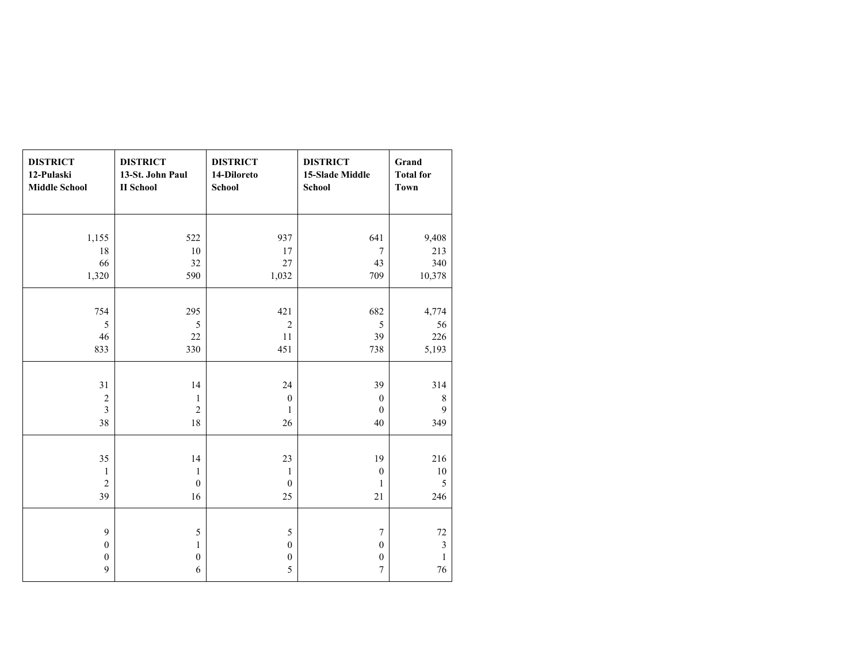| <b>DISTRICT</b><br>12-Pulaski<br><b>Middle School</b> | <b>DISTRICT</b><br>13-St. John Paul<br><b>II</b> School | <b>DISTRICT</b><br>14-Diloreto<br>School | <b>DISTRICT</b><br>15-Slade Middle<br><b>School</b> | Grand<br><b>Total for</b><br><b>Town</b> |
|-------------------------------------------------------|---------------------------------------------------------|------------------------------------------|-----------------------------------------------------|------------------------------------------|
|                                                       |                                                         |                                          |                                                     |                                          |
| 1,155                                                 | 522                                                     | 937                                      | 641                                                 | 9,408                                    |
| 18                                                    | 10                                                      | 17                                       | $\overline{7}$                                      | 213                                      |
| 66                                                    | 32                                                      | 27                                       | 43                                                  | 340                                      |
| 1,320                                                 | 590                                                     | 1,032                                    | 709                                                 | 10,378                                   |
|                                                       |                                                         |                                          |                                                     |                                          |
| 754                                                   | 295                                                     | 421                                      | 682                                                 | 4,774                                    |
| 5                                                     | 5                                                       | $\overline{2}$                           | 5                                                   | 56                                       |
| 46                                                    | 22                                                      | 11                                       | 39                                                  | 226                                      |
| 833                                                   | 330                                                     | 451                                      | 738                                                 | 5,193                                    |
|                                                       |                                                         |                                          |                                                     |                                          |
| 31                                                    | 14                                                      | 24                                       | 39                                                  | 314                                      |
| $\overline{c}$                                        | $\mathbf{1}$                                            | $\mathbf{0}$                             | $\mathbf{0}$                                        | $\,$ 8 $\,$                              |
| $\overline{\mathbf{3}}$                               | $\overline{c}$                                          | $\mathbf{1}$                             | $\mathbf{0}$                                        | $\mathbf{9}$                             |
| 38                                                    | 18                                                      | 26                                       | 40                                                  | 349                                      |
|                                                       |                                                         |                                          |                                                     |                                          |
| 35                                                    | 14                                                      | 23                                       | 19                                                  | 216                                      |
| $\mathbf{1}$                                          | $\mathbf{1}$                                            | $\mathbf{1}$                             | $\boldsymbol{0}$                                    | $10\,$                                   |
| $\overline{c}$                                        | $\boldsymbol{0}$                                        | $\boldsymbol{0}$                         | $\mathbf{1}$                                        | 5                                        |
| 39                                                    | 16                                                      | 25                                       | 21                                                  | 246                                      |
|                                                       |                                                         |                                          |                                                     |                                          |
| 9                                                     | $\sqrt{5}$                                              | 5                                        | $\overline{7}$                                      | 72                                       |
| $\boldsymbol{0}$                                      | $\mathbf{1}$                                            | $\boldsymbol{0}$                         | $\boldsymbol{0}$                                    | $\mathfrak{Z}$                           |
| $\boldsymbol{0}$                                      | $\boldsymbol{0}$                                        | $\boldsymbol{0}$                         | $\boldsymbol{0}$                                    | $\mathbf{1}$                             |
| $\boldsymbol{9}$                                      | $\sqrt{6}$                                              | 5                                        | $\boldsymbol{7}$                                    | 76                                       |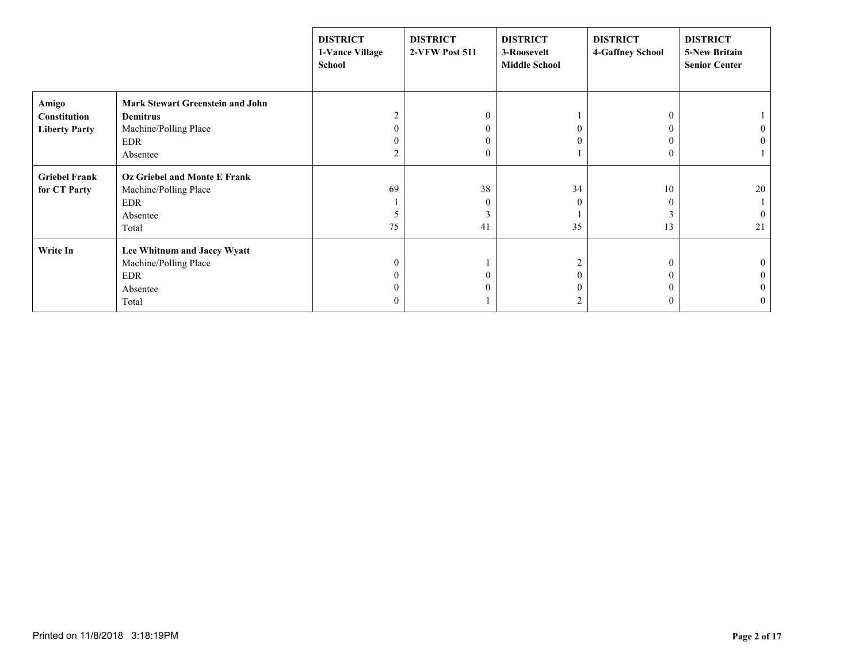|                      |                                         | <b>DISTRICT</b><br>1-Vance Village<br>School | <b>DISTRICT</b><br>2-VFW Post 511 | <b>DISTRICT</b><br>3-Roosevelt<br><b>Middle School</b> | <b>DISTRICT</b><br><b>4-Gaffney School</b> | <b>DISTRICT</b><br><b>5-New Britain</b><br><b>Senior Center</b> |
|----------------------|-----------------------------------------|----------------------------------------------|-----------------------------------|--------------------------------------------------------|--------------------------------------------|-----------------------------------------------------------------|
| Amigo                | <b>Mark Stewart Greenstein and John</b> |                                              |                                   |                                                        |                                            |                                                                 |
| <b>Constitution</b>  | Demitrus                                | $\overline{2}$                               | $\boldsymbol{0}$                  |                                                        |                                            |                                                                 |
| <b>Liberty Party</b> | Machine/Polling Place                   |                                              | $\boldsymbol{0}$                  |                                                        |                                            |                                                                 |
|                      | <b>EDR</b>                              |                                              | $\boldsymbol{0}$                  |                                                        |                                            |                                                                 |
|                      | Absentee                                | 2                                            | $\boldsymbol{0}$                  |                                                        |                                            |                                                                 |
| <b>Griebel Frank</b> | <b>Oz Griebel and Monte E Frank</b>     |                                              |                                   |                                                        |                                            |                                                                 |
| for CT Party         | Machine/Polling Place                   | 69                                           | 38                                | 34                                                     | 10                                         | 20                                                              |
|                      | <b>EDR</b>                              |                                              | $\boldsymbol{0}$                  |                                                        |                                            |                                                                 |
|                      | Absentee                                |                                              | 3                                 |                                                        |                                            |                                                                 |
|                      | Total                                   | 75                                           | 41                                | 35                                                     | 13                                         | 21                                                              |
| Write In             | Lee Whitnum and Jacey Wyatt             |                                              |                                   |                                                        |                                            |                                                                 |
|                      | Machine/Polling Place                   | 0                                            |                                   |                                                        |                                            |                                                                 |
|                      | <b>EDR</b>                              |                                              | $\mathbf{0}$                      |                                                        |                                            |                                                                 |
|                      | Absentee                                |                                              | $\mathbf{0}$                      |                                                        |                                            |                                                                 |
|                      | Total                                   | $\left($                                     |                                   |                                                        | $\left($                                   | $\bf{0}$                                                        |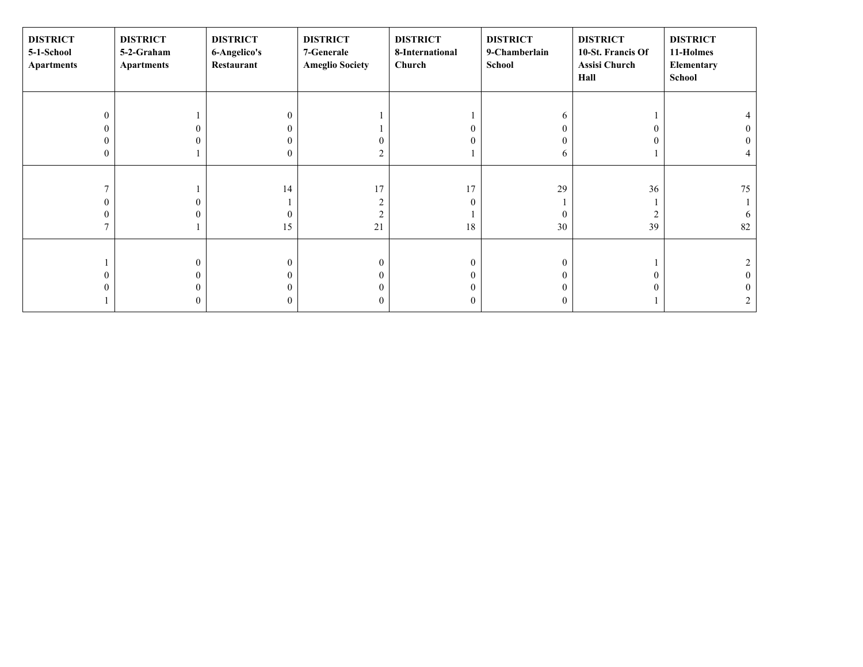| <b>DISTRICT</b><br>5-1-School<br><b>Apartments</b> | <b>DISTRICT</b><br>5-2-Graham<br><b>Apartments</b> | <b>DISTRICT</b><br>6-Angelico's<br>Restaurant | <b>DISTRICT</b><br>7-Generale<br><b>Ameglio Society</b> | <b>DISTRICT</b><br>8-International<br>Church | <b>DISTRICT</b><br>9-Chamberlain<br>School | <b>DISTRICT</b><br>10-St. Francis Of<br>Assisi Church<br>Hall | <b>DISTRICT</b><br>11-Holmes<br>Elementary<br>School |
|----------------------------------------------------|----------------------------------------------------|-----------------------------------------------|---------------------------------------------------------|----------------------------------------------|--------------------------------------------|---------------------------------------------------------------|------------------------------------------------------|
|                                                    |                                                    |                                               |                                                         |                                              |                                            |                                                               |                                                      |
| $\mathbf{0}$                                       |                                                    | 0                                             |                                                         |                                              | 6                                          |                                                               |                                                      |
| $\mathbf{0}$                                       |                                                    |                                               |                                                         |                                              |                                            | 0                                                             |                                                      |
| 0                                                  |                                                    |                                               | 0                                                       |                                              |                                            |                                                               |                                                      |
| $\boldsymbol{0}$                                   |                                                    | $^{(1)}$                                      | 2                                                       |                                              | <sub>b</sub>                               |                                                               |                                                      |
|                                                    |                                                    |                                               |                                                         |                                              |                                            |                                                               |                                                      |
|                                                    |                                                    | 14                                            | 17                                                      | 17                                           | 29                                         | 36                                                            | 75                                                   |
| 0                                                  |                                                    |                                               | 2                                                       |                                              |                                            |                                                               |                                                      |
| 0                                                  |                                                    |                                               | $\overline{2}$                                          |                                              |                                            | $\overline{2}$                                                |                                                      |
|                                                    |                                                    | 15                                            | 21                                                      | 18                                           | 30                                         | 39                                                            | 82                                                   |
|                                                    |                                                    |                                               |                                                         |                                              |                                            |                                                               |                                                      |
|                                                    | $\theta$                                           | 0                                             | $\mathbf{0}$                                            | $\boldsymbol{0}$                             | $\Omega$                                   |                                                               |                                                      |
| $\mathbf{0}$                                       |                                                    |                                               | $\theta$                                                | 0                                            |                                            | 0                                                             |                                                      |
| $\theta$                                           |                                                    |                                               | $\theta$                                                |                                              |                                            | 0                                                             |                                                      |
|                                                    | 0                                                  | 0                                             | $\boldsymbol{0}$                                        | $\overline{0}$                               | $\Omega$                                   |                                                               |                                                      |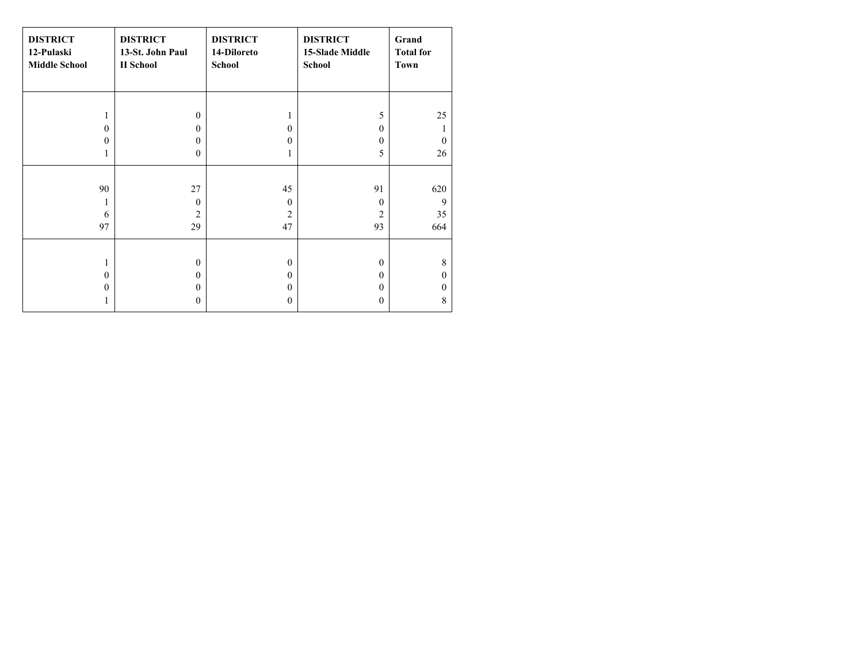| <b>DISTRICT</b><br>12-Pulaski<br><b>Middle School</b> | <b>DISTRICT</b><br>13-St. John Paul<br><b>II</b> School | <b>DISTRICT</b><br>14-Diloreto<br><b>School</b> | <b>DISTRICT</b><br><b>15-Slade Middle</b><br>School | Grand<br><b>Total for</b><br><b>Town</b> |
|-------------------------------------------------------|---------------------------------------------------------|-------------------------------------------------|-----------------------------------------------------|------------------------------------------|
|                                                       |                                                         |                                                 |                                                     |                                          |
| 1                                                     | $\theta$                                                | 1                                               | 5                                                   | 25                                       |
| $\theta$                                              | $\Omega$                                                | $\theta$                                        | $\mathbf{0}$                                        |                                          |
| $\theta$                                              | $\theta$                                                | 0                                               | $\mathbf{0}$                                        | $\theta$                                 |
| $\mathbf{1}$                                          | $\mathbf{0}$                                            | 1                                               | 5                                                   | 26                                       |
|                                                       |                                                         |                                                 |                                                     |                                          |
| 90                                                    | 27                                                      | 45                                              | 91                                                  | 620                                      |
| 1                                                     | $\Omega$                                                | $\theta$                                        | $\theta$                                            | 9                                        |
| 6                                                     | $\overline{2}$                                          | $\overline{c}$                                  | $\overline{2}$                                      | 35                                       |
| 97                                                    | 29                                                      | 47                                              | 93                                                  | 664                                      |
|                                                       |                                                         |                                                 |                                                     |                                          |
| 1                                                     | $\Omega$                                                | $\mathbf{0}$                                    | $\mathbf{0}$                                        | 8                                        |
| $\theta$                                              | $\mathbf{0}$                                            | $\mathbf{0}$                                    | $\mathbf{0}$                                        | $\mathbf{0}$                             |
| $\theta$                                              | $\theta$                                                | $\theta$                                        | $\mathbf{0}$                                        | $\theta$                                 |
|                                                       | $\mathbf{0}$                                            | $\mathbf{0}$                                    | $\mathbf{0}$                                        | 8                                        |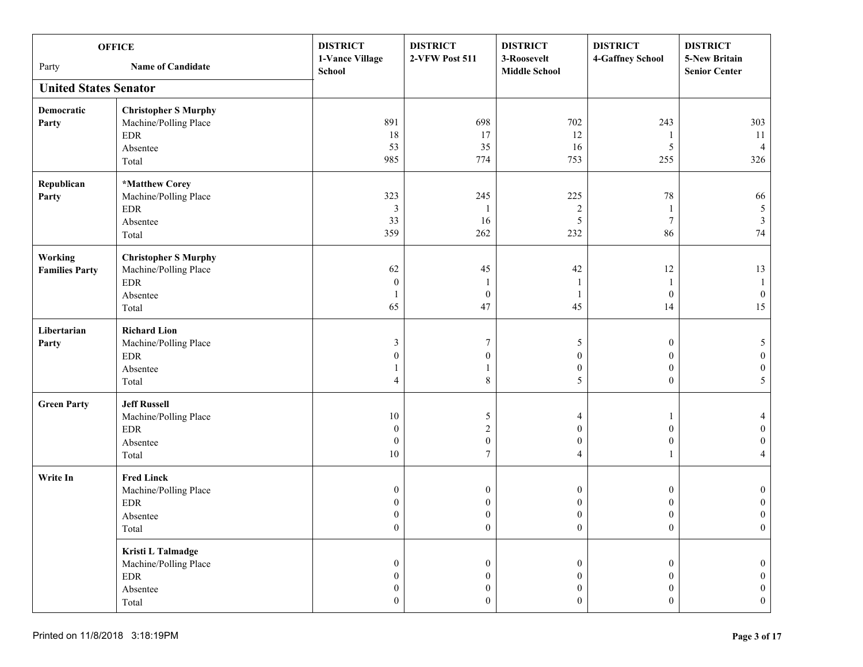| <b>OFFICE</b><br><b>Name of Candidate</b><br>Party |                                                                                                          | <b>DISTRICT</b><br>1-Vance Village<br><b>School</b>                          | <b>DISTRICT</b><br>2-VFW Post 511                                            | <b>DISTRICT</b><br>3-Roosevelt<br><b>Middle School</b>                       | <b>DISTRICT</b><br>4-Gaffney School                                      | <b>DISTRICT</b><br>5-New Britain<br><b>Senior Center</b>     |
|----------------------------------------------------|----------------------------------------------------------------------------------------------------------|------------------------------------------------------------------------------|------------------------------------------------------------------------------|------------------------------------------------------------------------------|--------------------------------------------------------------------------|--------------------------------------------------------------|
| <b>United States Senator</b>                       |                                                                                                          |                                                                              |                                                                              |                                                                              |                                                                          |                                                              |
| Democratic<br>Party                                | <b>Christopher S Murphy</b><br>Machine/Polling Place<br>$\ensuremath{\mathrm{EDR}}$<br>Absentee<br>Total | 891<br>18<br>53<br>985                                                       | 698<br>17<br>35<br>774                                                       | 702<br>12<br>16<br>753                                                       | 243<br>5<br>255                                                          | 303<br>11<br>$\overline{4}$<br>326                           |
| Republican<br>Party                                | *Matthew Corey<br>Machine/Polling Place<br>$\rm EDR$<br>Absentee<br>Total                                | 323<br>3<br>33<br>359                                                        | 245<br>16<br>262                                                             | 225<br>$\boldsymbol{2}$<br>5<br>232                                          | 78<br>$\overline{7}$<br>86                                               | 66<br>$5\,$<br>$\mathfrak{Z}$<br>$74\,$                      |
| Working<br><b>Families Party</b>                   | <b>Christopher S Murphy</b><br>Machine/Polling Place<br>$\ensuremath{\mathrm{EDR}}$<br>Absentee<br>Total | 62<br>$\mathbf{0}$<br>65                                                     | 45<br>1<br>$\boldsymbol{0}$<br>47                                            | 42<br>1<br>1<br>45                                                           | 12<br>-1<br>$\boldsymbol{0}$<br>14                                       | 13<br>1<br>$\mathbf{0}$<br>15                                |
| Libertarian<br>Party                               | <b>Richard Lion</b><br>Machine/Polling Place<br>$\rm EDR$<br>Absentee<br>Total                           | 3<br>$\theta$<br>$\overline{4}$                                              | 7<br>$\boldsymbol{0}$<br>1<br>8                                              | 5<br>$\mathbf{0}$<br>$\boldsymbol{0}$<br>5                                   | $\boldsymbol{0}$<br>$\theta$<br>$\boldsymbol{0}$<br>$\overline{0}$       | 5<br>$\boldsymbol{0}$<br>$\boldsymbol{0}$<br>5               |
| <b>Green Party</b>                                 | <b>Jeff Russell</b><br>Machine/Polling Place<br>$\ensuremath{\mathrm{EDR}}$<br>Absentee<br>Total         | 10<br>$\boldsymbol{0}$<br>$\boldsymbol{0}$<br>10                             | 5<br>$\overline{c}$<br>$\boldsymbol{0}$<br>$\overline{7}$                    | 4<br>$\mathbf{0}$<br>$\mathbf{0}$<br>$\overline{4}$                          | $\theta$<br>$\boldsymbol{0}$<br>-1                                       | $\boldsymbol{0}$<br>$\boldsymbol{0}$<br>4                    |
| Write In                                           | <b>Fred Linck</b><br>Machine/Polling Place<br><b>EDR</b><br>Absentee<br>Total                            | $\boldsymbol{0}$<br>0<br>$\boldsymbol{0}$<br>$\boldsymbol{0}$                | $\boldsymbol{0}$<br>$\boldsymbol{0}$<br>$\boldsymbol{0}$<br>$\boldsymbol{0}$ | $\boldsymbol{0}$<br>0<br>$\boldsymbol{0}$<br>$\boldsymbol{0}$                | $\boldsymbol{0}$<br>$\mathbf{0}$<br>$\boldsymbol{0}$<br>$\bf{0}$         | $\bf{0}$<br>$\bf{0}$<br>$\boldsymbol{0}$<br>$\boldsymbol{0}$ |
|                                                    | Kristi L Talmadge<br>Machine/Polling Place<br><b>EDR</b><br>Absentee<br>Total                            | $\boldsymbol{0}$<br>$\boldsymbol{0}$<br>$\boldsymbol{0}$<br>$\boldsymbol{0}$ | $\boldsymbol{0}$<br>$\boldsymbol{0}$<br>$\boldsymbol{0}$<br>$\boldsymbol{0}$ | $\boldsymbol{0}$<br>$\boldsymbol{0}$<br>$\boldsymbol{0}$<br>$\boldsymbol{0}$ | $\mathbf{0}$<br>$\boldsymbol{0}$<br>$\boldsymbol{0}$<br>$\boldsymbol{0}$ | $\theta$<br>$\theta$<br>$\overline{0}$<br>$\boldsymbol{0}$   |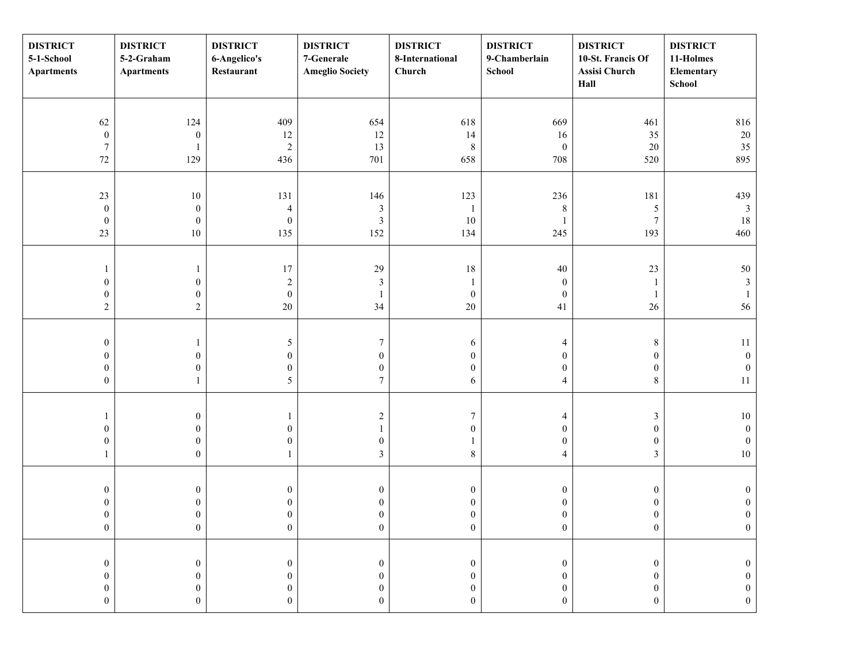| <b>DISTRICT</b><br>5-1-School<br><b>Apartments</b>                           | <b>DISTRICT</b><br>5-2-Graham<br><b>Apartments</b>                           | <b>DISTRICT</b><br>6-Angelico's<br>Restaurant                                | <b>DISTRICT</b><br>7-Generale<br><b>Ameglio Society</b>                      | <b>DISTRICT</b><br>8-International<br>Church                             | <b>DISTRICT</b><br>9-Chamberlain<br>School                                   | <b>DISTRICT</b><br>10-St. Francis Of<br><b>Assisi Church</b><br>Hall         | <b>DISTRICT</b><br>11-Holmes<br>Elementary<br>School                         |
|------------------------------------------------------------------------------|------------------------------------------------------------------------------|------------------------------------------------------------------------------|------------------------------------------------------------------------------|--------------------------------------------------------------------------|------------------------------------------------------------------------------|------------------------------------------------------------------------------|------------------------------------------------------------------------------|
| 62<br>$\boldsymbol{0}$<br>$\boldsymbol{7}$                                   | 124<br>$\boldsymbol{0}$<br>1                                                 | 409<br>12<br>$\sqrt{2}$                                                      | 654<br>$12\,$<br>13                                                          | 618<br>14<br>$\,8\,$                                                     | 669<br>16<br>$\mathbf{0}$                                                    | 461<br>35<br>20                                                              | 816<br>$20\,$<br>35                                                          |
| $72\,$                                                                       | 129                                                                          | 436                                                                          | 701                                                                          | 658                                                                      | 708                                                                          | 520                                                                          | 895                                                                          |
| $23\,$<br>$\boldsymbol{0}$<br>$\boldsymbol{0}$<br>23                         | 10<br>$\boldsymbol{0}$<br>$\boldsymbol{0}$<br>$10\,$                         | 131<br>$\overline{\mathcal{L}}$<br>$\boldsymbol{0}$<br>135                   | 146<br>$\mathfrak{Z}$<br>$\mathfrak{Z}$<br>152                               | 123<br>$10\,$<br>134                                                     | 236<br>8<br>245                                                              | 181<br>$\sqrt{5}$<br>7<br>193                                                | 439<br>$\mathfrak{Z}$<br>18<br>460                                           |
| 1<br>$\boldsymbol{0}$<br>$\boldsymbol{0}$<br>$\sqrt{2}$                      | 1<br>$\boldsymbol{0}$<br>$\boldsymbol{0}$<br>$\boldsymbol{2}$                | 17<br>$\sqrt{2}$<br>$\boldsymbol{0}$<br>$20\,$                               | 29<br>$\mathfrak{Z}$<br>$\mathbf{1}$<br>34                                   | $18\,$<br>$\boldsymbol{0}$<br>$20\,$                                     | $40\,$<br>$\boldsymbol{0}$<br>$\boldsymbol{0}$<br>41                         | 23<br>$\mathbf{1}$<br>$\mathbf{1}$<br>$26\,$                                 | 50<br>$\mathfrak{Z}$<br>$\mathbf{1}$<br>56                                   |
| $\boldsymbol{0}$<br>$\boldsymbol{0}$<br>$\boldsymbol{0}$<br>$\boldsymbol{0}$ | $\boldsymbol{0}$<br>$\boldsymbol{0}$<br>1                                    | $\sqrt{5}$<br>$\boldsymbol{0}$<br>$\boldsymbol{0}$<br>$\sqrt{5}$             | $\boldsymbol{7}$<br>$\boldsymbol{0}$<br>$\boldsymbol{0}$<br>$\boldsymbol{7}$ | 6<br>$\overline{0}$<br>$\mathbf{0}$<br>6                                 | 4<br>$\mathbf{0}$<br>$\boldsymbol{0}$<br>$\overline{4}$                      | $\,8\,$<br>$\boldsymbol{0}$<br>$\boldsymbol{0}$<br>$\,$ 8 $\,$               | 11<br>$\mathbf{0}$<br>$\boldsymbol{0}$<br>11                                 |
| $\boldsymbol{0}$<br>$\boldsymbol{0}$<br>$\mathbf{1}$                         | $\boldsymbol{0}$<br>$\boldsymbol{0}$<br>$\boldsymbol{0}$<br>$\boldsymbol{0}$ | -1<br>$\mathbf{0}$<br>$\mathbf{0}$<br>1                                      | $\sqrt{2}$<br>$\mathbf{1}$<br>$\boldsymbol{0}$<br>$\mathfrak{Z}$             | $7\phantom{.0}$<br>$\mathbf{0}$<br>8                                     | 4<br>$\boldsymbol{0}$<br>$\boldsymbol{0}$<br>4                               | $\mathfrak z$<br>$\boldsymbol{0}$<br>$\boldsymbol{0}$<br>$\mathfrak{Z}$      | $10\,$<br>$\boldsymbol{0}$<br>$\boldsymbol{0}$<br>$10\,$                     |
| $\boldsymbol{0}$<br>$\boldsymbol{0}$<br>$\boldsymbol{0}$<br>$\boldsymbol{0}$ | $\boldsymbol{0}$<br>$\boldsymbol{0}$<br>$\boldsymbol{0}$<br>$\boldsymbol{0}$ | $\boldsymbol{0}$<br>$\boldsymbol{0}$<br>$\boldsymbol{0}$<br>$\boldsymbol{0}$ | $\boldsymbol{0}$<br>$\boldsymbol{0}$<br>$\boldsymbol{0}$<br>$\boldsymbol{0}$ | $\boldsymbol{0}$<br>$\boldsymbol{0}$<br>$\mathbf{0}$<br>$\boldsymbol{0}$ | $\boldsymbol{0}$<br>$\boldsymbol{0}$<br>$\boldsymbol{0}$<br>$\boldsymbol{0}$ | $\boldsymbol{0}$<br>$\boldsymbol{0}$<br>$\boldsymbol{0}$<br>$\boldsymbol{0}$ | $\mathbf{0}$<br>$\boldsymbol{0}$<br>$\mathbf{0}$<br>$\boldsymbol{0}$         |
| $\boldsymbol{0}$<br>$\overline{0}$<br>$\boldsymbol{0}$<br>$\boldsymbol{0}$   | $\boldsymbol{0}$<br>$\boldsymbol{0}$<br>$\boldsymbol{0}$<br>$\boldsymbol{0}$ | $\boldsymbol{0}$<br>$\boldsymbol{0}$<br>$\boldsymbol{0}$<br>$\boldsymbol{0}$ | $\boldsymbol{0}$<br>$\boldsymbol{0}$<br>0<br>$\boldsymbol{0}$                | $\mathbf{0}$<br>$\overline{0}$<br>$\boldsymbol{0}$<br>$\boldsymbol{0}$   | $\boldsymbol{0}$<br>$\overline{0}$<br>$\boldsymbol{0}$<br>$\boldsymbol{0}$   | $\boldsymbol{0}$<br>$\boldsymbol{0}$<br>$\boldsymbol{0}$<br>$\boldsymbol{0}$ | $\boldsymbol{0}$<br>$\boldsymbol{0}$<br>$\boldsymbol{0}$<br>$\boldsymbol{0}$ |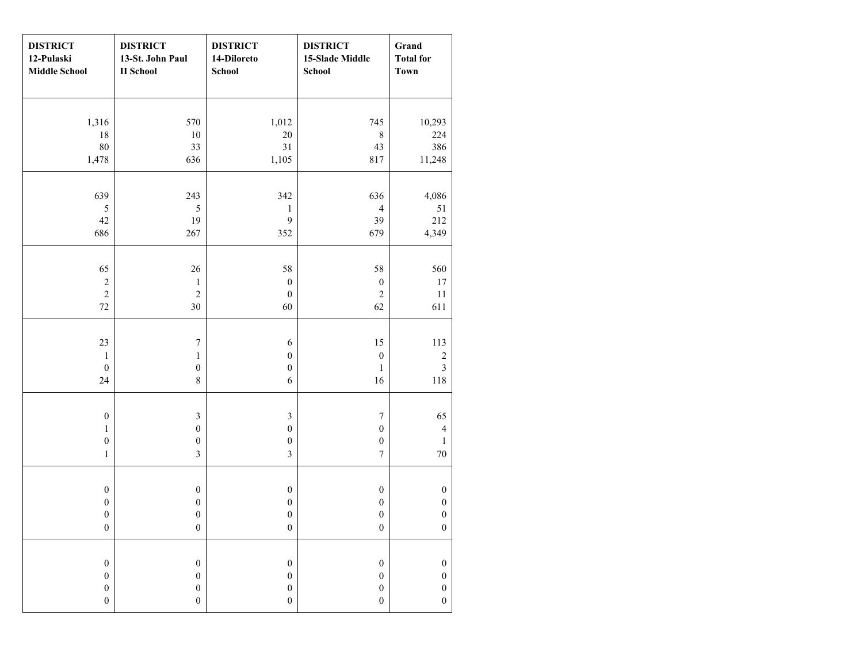| <b>DISTRICT</b><br>12-Pulaski<br><b>Middle School</b> | <b>DISTRICT</b><br>13-St. John Paul<br><b>II</b> School | <b>DISTRICT</b><br>14-Diloreto<br><b>School</b> | <b>DISTRICT</b><br>15-Slade Middle<br>School | Grand<br><b>Total for</b><br><b>Town</b> |
|-------------------------------------------------------|---------------------------------------------------------|-------------------------------------------------|----------------------------------------------|------------------------------------------|
|                                                       |                                                         |                                                 |                                              |                                          |
| 1,316                                                 | 570                                                     | 1,012                                           | 745                                          | 10,293                                   |
| 18                                                    | $10\,$                                                  | $20\,$                                          | $8\,$                                        | 224                                      |
| $80\,$                                                | 33                                                      | 31                                              | 43                                           | 386                                      |
| 1,478                                                 | 636                                                     | 1,105                                           | 817                                          | 11,248                                   |
| 639                                                   | 243                                                     | 342                                             | 636                                          | 4,086                                    |
| $\sqrt{5}$                                            | $\sqrt{5}$                                              | $\,1$                                           | $\overline{4}$                               | 51                                       |
| $42\,$                                                | 19                                                      | 9                                               | 39                                           | 212                                      |
| 686                                                   | 267                                                     | 352                                             | 679                                          | 4,349                                    |
|                                                       |                                                         |                                                 |                                              |                                          |
| 65                                                    | $26\,$                                                  | 58                                              | 58                                           | 560                                      |
| $\sqrt{2}$                                            | $\mathbf{1}$                                            | $\boldsymbol{0}$                                | $\boldsymbol{0}$                             | 17                                       |
| $\sqrt{2}$                                            | $\sqrt{2}$                                              | $\boldsymbol{0}$                                | $\overline{c}$                               | $11\,$                                   |
| $72\,$                                                | 30                                                      | 60                                              | 62                                           | 611                                      |
|                                                       |                                                         |                                                 |                                              |                                          |
| 23                                                    | $\boldsymbol{7}$                                        | $\boldsymbol{6}$                                | 15                                           | 113                                      |
| $\mathbf 1$<br>$\boldsymbol{0}$                       | $\,1$<br>$\boldsymbol{0}$                               | $\boldsymbol{0}$<br>$\boldsymbol{0}$            | $\boldsymbol{0}$<br>$\mathbf{1}$             | $\sqrt{2}$<br>$\mathfrak{Z}$             |
| 24                                                    | $8\,$                                                   | $\sqrt{6}$                                      | 16                                           | 118                                      |
|                                                       |                                                         |                                                 |                                              |                                          |
| $\boldsymbol{0}$                                      | $\mathfrak{Z}$                                          | $\mathfrak{Z}$                                  | $\boldsymbol{7}$                             | 65                                       |
| $\mathbf{1}$                                          | $\boldsymbol{0}$                                        | $\boldsymbol{0}$                                | $\boldsymbol{0}$                             | $\overline{4}$                           |
| $\boldsymbol{0}$                                      | $\boldsymbol{0}$                                        | $\boldsymbol{0}$                                | $\boldsymbol{0}$                             | $\mathbf{1}$                             |
| $\,1\,$                                               | $\mathfrak{Z}$                                          | $\overline{3}$                                  | $\boldsymbol{7}$                             | $70\,$                                   |
|                                                       |                                                         |                                                 |                                              |                                          |
| $\boldsymbol{0}$                                      | $\boldsymbol{0}$                                        | $\boldsymbol{0}$                                | $\boldsymbol{0}$                             | $\boldsymbol{0}$                         |
| $\boldsymbol{0}$                                      | $\boldsymbol{0}$                                        | $\boldsymbol{0}$                                | $\boldsymbol{0}$                             | $\boldsymbol{0}$                         |
| $\boldsymbol{0}$                                      | $\boldsymbol{0}$                                        | $\boldsymbol{0}$                                | $\boldsymbol{0}$                             | $\boldsymbol{0}$                         |
| $\boldsymbol{0}$                                      | $\boldsymbol{0}$                                        | $\boldsymbol{0}$                                | $\boldsymbol{0}$                             | $\boldsymbol{0}$                         |
| $\boldsymbol{0}$                                      | $\boldsymbol{0}$                                        | $\boldsymbol{0}$                                | $\boldsymbol{0}$                             | $\boldsymbol{0}$                         |
| $\boldsymbol{0}$                                      | $\boldsymbol{0}$                                        | $\boldsymbol{0}$                                | $\boldsymbol{0}$                             | $\boldsymbol{0}$                         |
| $\boldsymbol{0}$                                      | $\boldsymbol{0}$                                        | $\boldsymbol{0}$                                | $\boldsymbol{0}$                             | $\boldsymbol{0}$                         |
| $\boldsymbol{0}$                                      | $\boldsymbol{0}$                                        | $\boldsymbol{0}$                                | $\boldsymbol{0}$                             | $\boldsymbol{0}$                         |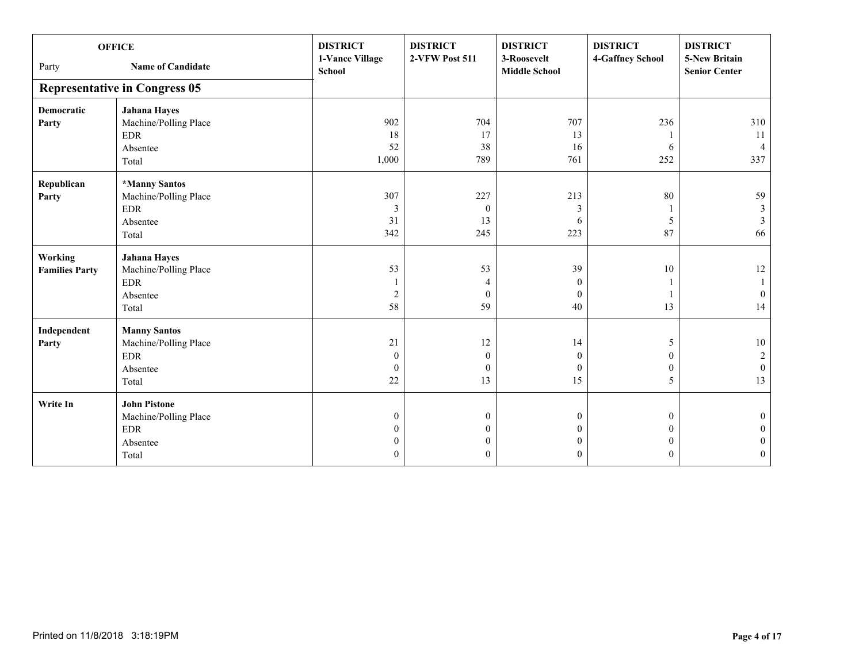| <b>OFFICE</b>         |                                      | <b>DISTRICT</b><br>1-Vance Village | <b>DISTRICT</b><br>2-VFW Post 511 | <b>DISTRICT</b><br>3-Roosevelt | <b>DISTRICT</b><br>4-Gaffney School | <b>DISTRICT</b><br><b>5-New Britain</b> |
|-----------------------|--------------------------------------|------------------------------------|-----------------------------------|--------------------------------|-------------------------------------|-----------------------------------------|
| Party                 | <b>Name of Candidate</b>             | School                             |                                   | <b>Middle School</b>           |                                     | <b>Senior Center</b>                    |
|                       | <b>Representative in Congress 05</b> |                                    |                                   |                                |                                     |                                         |
| <b>Democratic</b>     | <b>Jahana Hayes</b>                  |                                    |                                   |                                |                                     |                                         |
| Party                 | Machine/Polling Place                | 902                                | 704                               | 707                            | 236                                 | 310                                     |
|                       | <b>EDR</b>                           | 18                                 | 17                                | 13                             |                                     | 11                                      |
|                       | Absentee                             | 52                                 | 38                                | 16                             | 6                                   | $\overline{4}$                          |
|                       | Total                                | 1,000                              | 789                               | 761                            | 252                                 | 337                                     |
| Republican            | *Manny Santos                        |                                    |                                   |                                |                                     |                                         |
| Party                 | Machine/Polling Place                | 307                                | 227                               | 213                            | 80                                  | 59                                      |
|                       | <b>EDR</b>                           | 3                                  | $\boldsymbol{0}$                  | 3                              |                                     | 3                                       |
|                       | Absentee                             | 31                                 | 13                                | 6                              | 5                                   | 3                                       |
|                       | Total                                | 342                                | 245                               | 223                            | 87                                  | 66                                      |
| <b>Working</b>        | <b>Jahana Hayes</b>                  |                                    |                                   |                                |                                     |                                         |
| <b>Families Party</b> | Machine/Polling Place                | 53                                 | 53                                | 39                             | 10                                  | 12                                      |
|                       | <b>EDR</b>                           |                                    | 4                                 | $\theta$                       |                                     |                                         |
|                       | Absentee                             | $\overline{2}$                     | $\mathbf{0}$                      | $\theta$                       |                                     | $\overline{0}$                          |
|                       | Total                                | 58                                 | 59                                | 40                             | 13                                  | 14                                      |
| Independent           | <b>Manny Santos</b>                  |                                    |                                   |                                |                                     |                                         |
| Party                 | Machine/Polling Place                | 21                                 | 12                                | 14                             | 5                                   | $10\,$                                  |
|                       | $\rm EDR$                            | $\mathbf{0}$                       | $\boldsymbol{0}$                  | $\Omega$                       | $\Omega$                            | $\overline{c}$                          |
|                       | Absentee                             | $\theta$                           | $\mathbf{0}$                      | $\theta$                       | $\mathbf{0}$                        | $\mathbf{0}$                            |
|                       | Total                                | 22                                 | 13                                | 15                             | 5                                   | 13                                      |
| Write In              | <b>John Pistone</b>                  |                                    |                                   |                                |                                     |                                         |
|                       | Machine/Polling Place                | $\mathbf{0}$                       | $\boldsymbol{0}$                  | $\mathbf{0}$                   | $\theta$                            | $\Omega$                                |
|                       | <b>EDR</b>                           | $\theta$                           | $\overline{0}$                    | 0                              | $\theta$                            |                                         |
|                       | Absentee                             | $\theta$                           | $\boldsymbol{0}$                  | $\theta$                       | $\theta$                            | $\Omega$                                |
|                       | Total                                | $\theta$                           | $\boldsymbol{0}$                  | $\theta$                       | $\Omega$                            | $\mathbf{0}$                            |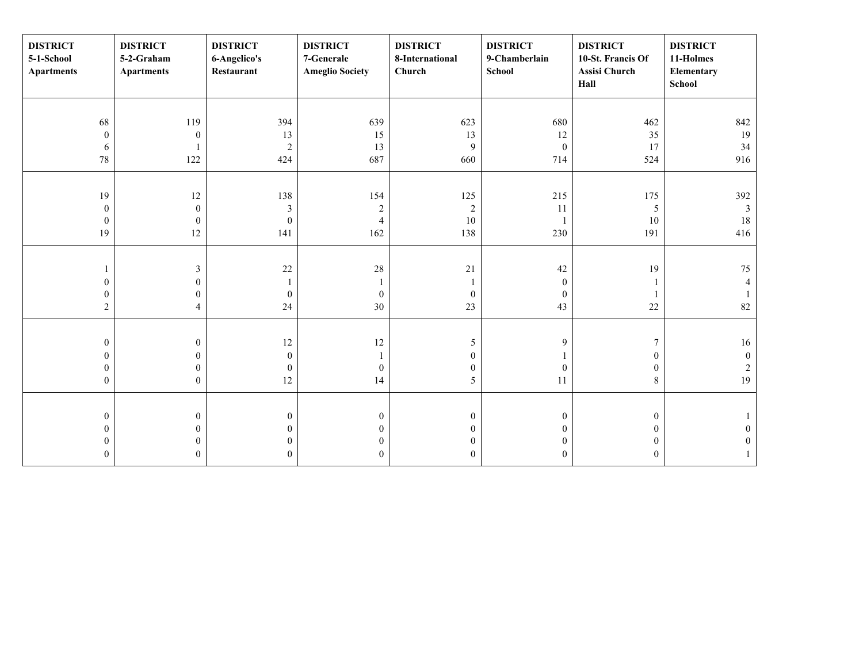| <b>DISTRICT</b><br>5-1-School<br><b>Apartments</b> | <b>DISTRICT</b><br>5-2-Graham<br><b>Apartments</b> | <b>DISTRICT</b><br>6-Angelico's<br>Restaurant | <b>DISTRICT</b><br>7-Generale<br><b>Ameglio Society</b> | <b>DISTRICT</b><br>8-International<br>Church | <b>DISTRICT</b><br>9-Chamberlain<br><b>School</b> | <b>DISTRICT</b><br>10-St. Francis Of<br>Assisi Church<br>Hall | <b>DISTRICT</b><br>11-Holmes<br>Elementary<br>School |
|----------------------------------------------------|----------------------------------------------------|-----------------------------------------------|---------------------------------------------------------|----------------------------------------------|---------------------------------------------------|---------------------------------------------------------------|------------------------------------------------------|
|                                                    |                                                    |                                               |                                                         |                                              |                                                   |                                                               |                                                      |
| 68                                                 | 119                                                | 394                                           | 639                                                     | 623                                          | 680                                               | 462                                                           | 842                                                  |
| $\boldsymbol{0}$                                   | $\boldsymbol{0}$                                   | 13                                            | 15                                                      | 13                                           | 12                                                | 35                                                            | 19                                                   |
| 6                                                  |                                                    | $\overline{2}$                                | 13                                                      | $\overline{9}$                               | $\boldsymbol{0}$                                  | 17                                                            | 34                                                   |
| $78\,$                                             | 122                                                | 424                                           | 687                                                     | 660                                          | 714                                               | 524                                                           | 916                                                  |
|                                                    |                                                    |                                               |                                                         |                                              |                                                   |                                                               |                                                      |
| 19                                                 | 12                                                 | 138                                           | 154                                                     | 125                                          | 215                                               | 175                                                           | 392                                                  |
| $\boldsymbol{0}$                                   | $\boldsymbol{0}$                                   | $\mathfrak{Z}$                                | $\sqrt{2}$                                              | $\sqrt{2}$                                   | 11                                                | $\mathfrak{S}$                                                | $\overline{3}$                                       |
| $\boldsymbol{0}$                                   | $\boldsymbol{0}$                                   | $\boldsymbol{0}$                              | $\overline{4}$                                          | $10\,$                                       |                                                   | 10                                                            | 18                                                   |
| 19                                                 | 12                                                 | 141                                           | 162                                                     | 138                                          | 230                                               | 191                                                           | 416                                                  |
|                                                    |                                                    |                                               |                                                         |                                              |                                                   |                                                               |                                                      |
|                                                    | $\mathfrak{Z}$                                     | 22                                            | $28\,$                                                  | $21\,$                                       | 42                                                | 19                                                            | 75                                                   |
| $\boldsymbol{0}$                                   | $\boldsymbol{0}$                                   |                                               | 1                                                       |                                              | $\mathbf{0}$                                      |                                                               | $\overline{4}$                                       |
| $\boldsymbol{0}$                                   | $\boldsymbol{0}$                                   | $\boldsymbol{0}$                              | $\mathbf{0}$                                            | $\boldsymbol{0}$                             | $\mathbf{0}$                                      |                                                               |                                                      |
| $\overline{c}$                                     | $\overline{4}$                                     | 24                                            | $30\,$                                                  | 23                                           | 43                                                | $22\,$                                                        | 82                                                   |
|                                                    |                                                    |                                               |                                                         |                                              |                                                   |                                                               |                                                      |
| $\boldsymbol{0}$                                   | $\boldsymbol{0}$                                   | $12\,$                                        | $12\,$                                                  | 5                                            | 9                                                 | 7                                                             | 16                                                   |
| $\boldsymbol{0}$                                   | $\boldsymbol{0}$                                   | $\boldsymbol{0}$                              |                                                         | $\boldsymbol{0}$                             |                                                   | $\boldsymbol{0}$                                              | $\boldsymbol{0}$                                     |
| $\boldsymbol{0}$                                   | $\boldsymbol{0}$                                   | $\mathbf{0}$                                  | $\boldsymbol{0}$                                        | $\boldsymbol{0}$                             | $\boldsymbol{0}$                                  | $\boldsymbol{0}$                                              | $\sqrt{2}$                                           |
| $\boldsymbol{0}$                                   | $\overline{0}$                                     | 12                                            | 14                                                      | 5                                            | 11                                                | $\,8\,$                                                       | 19                                                   |
|                                                    |                                                    |                                               |                                                         |                                              |                                                   |                                                               |                                                      |
| $\boldsymbol{0}$                                   | $\boldsymbol{0}$                                   | $\mathbf{0}$                                  | $\boldsymbol{0}$                                        | $\boldsymbol{0}$                             | $\bf{0}$                                          | $\boldsymbol{0}$                                              |                                                      |
| $\boldsymbol{0}$                                   | $\boldsymbol{0}$                                   | $\theta$                                      | $\boldsymbol{0}$                                        | $\boldsymbol{0}$                             | $\Omega$                                          | $\boldsymbol{0}$                                              | $\theta$                                             |
| $\boldsymbol{0}$                                   | $\boldsymbol{0}$                                   | $\mathbf{0}$                                  | $\mathbf{0}$                                            | $\boldsymbol{0}$                             | $\mathbf{0}$                                      | $\boldsymbol{0}$                                              | $\mathbf{0}$                                         |
| $\mathbf{0}$                                       | $\overline{0}$                                     | $\theta$                                      | $\overline{0}$                                          | $\overline{0}$                               | $\Omega$                                          | $\mathbf{0}$                                                  |                                                      |
|                                                    |                                                    |                                               |                                                         |                                              |                                                   |                                                               |                                                      |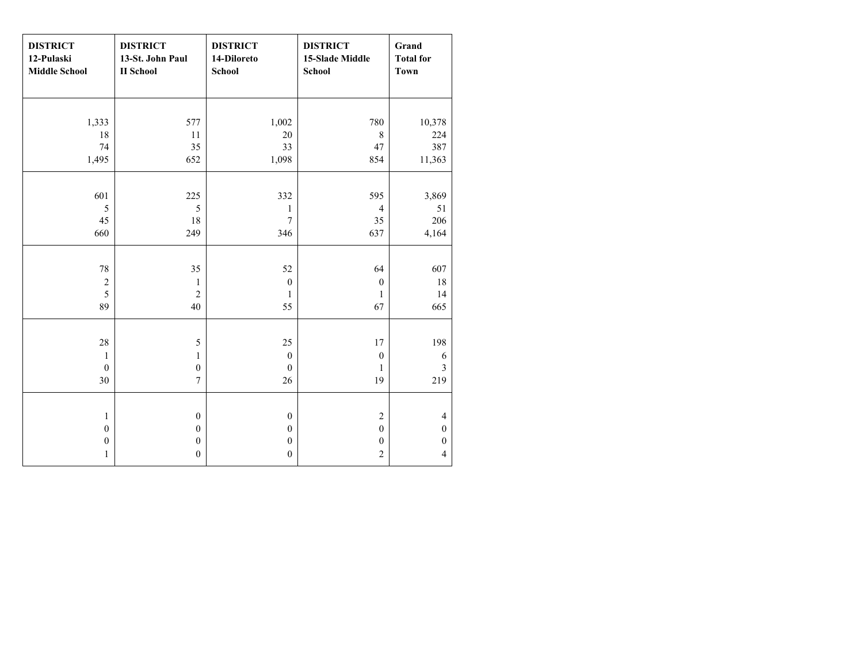| <b>DISTRICT</b><br>12-Pulaski<br><b>Middle School</b> | <b>DISTRICT</b><br>13-St. John Paul<br><b>II</b> School | <b>DISTRICT</b><br>14-Diloreto<br><b>School</b> | <b>DISTRICT</b><br>15-Slade Middle<br>School | Grand<br><b>Total for</b><br><b>Town</b> |
|-------------------------------------------------------|---------------------------------------------------------|-------------------------------------------------|----------------------------------------------|------------------------------------------|
|                                                       |                                                         |                                                 |                                              |                                          |
| 1,333                                                 | 577                                                     | 1,002                                           | 780                                          | 10,378                                   |
| 18                                                    | 11                                                      | 20                                              | $\,$ 8 $\,$                                  | 224                                      |
| 74                                                    | 35                                                      | 33                                              | 47                                           | 387                                      |
| 1,495                                                 | 652                                                     | 1,098                                           | 854                                          | 11,363                                   |
|                                                       |                                                         |                                                 |                                              |                                          |
| 601                                                   | 225                                                     | 332                                             | 595                                          | 3,869                                    |
| 5                                                     | 5                                                       | $\mathbf{1}$                                    | $\overline{4}$                               | 51                                       |
| 45                                                    | 18                                                      | $\tau$                                          | 35                                           | 206                                      |
| 660                                                   | 249                                                     | 346                                             | 637                                          | 4,164                                    |
|                                                       |                                                         |                                                 |                                              |                                          |
| 78                                                    | 35                                                      | 52                                              | 64                                           | 607                                      |
| $\sqrt{2}$                                            | $\mathbf{1}$                                            | $\boldsymbol{0}$                                | $\boldsymbol{0}$                             | $18\,$                                   |
| $\overline{5}$                                        | $\overline{2}$                                          | 1                                               | 1                                            | 14                                       |
| 89                                                    | 40                                                      | 55                                              | 67                                           | 665                                      |
|                                                       |                                                         |                                                 |                                              |                                          |
| $28\,$                                                | 5                                                       | 25                                              | 17                                           | 198                                      |
| 1                                                     | $\mathbf{1}$                                            | $\boldsymbol{0}$                                | $\boldsymbol{0}$                             | 6                                        |
| $\mathbf{0}$                                          | $\boldsymbol{0}$                                        | $\mathbf{0}$                                    | 1                                            | 3                                        |
| 30                                                    | $\tau$                                                  | 26                                              | 19                                           | 219                                      |
|                                                       |                                                         |                                                 |                                              |                                          |
| $\mathbf{1}$                                          | $\boldsymbol{0}$                                        | $\boldsymbol{0}$                                | $\sqrt{2}$                                   | $\overline{4}$                           |
| $\boldsymbol{0}$                                      | $\boldsymbol{0}$                                        | $\boldsymbol{0}$                                | $\boldsymbol{0}$                             | $\boldsymbol{0}$                         |
| $\boldsymbol{0}$                                      | $\boldsymbol{0}$                                        | $\boldsymbol{0}$                                | $\boldsymbol{0}$                             | $\boldsymbol{0}$                         |
| $\mathbf{1}$                                          | $\boldsymbol{0}$                                        | $\boldsymbol{0}$                                | $\overline{2}$                               | $\overline{4}$                           |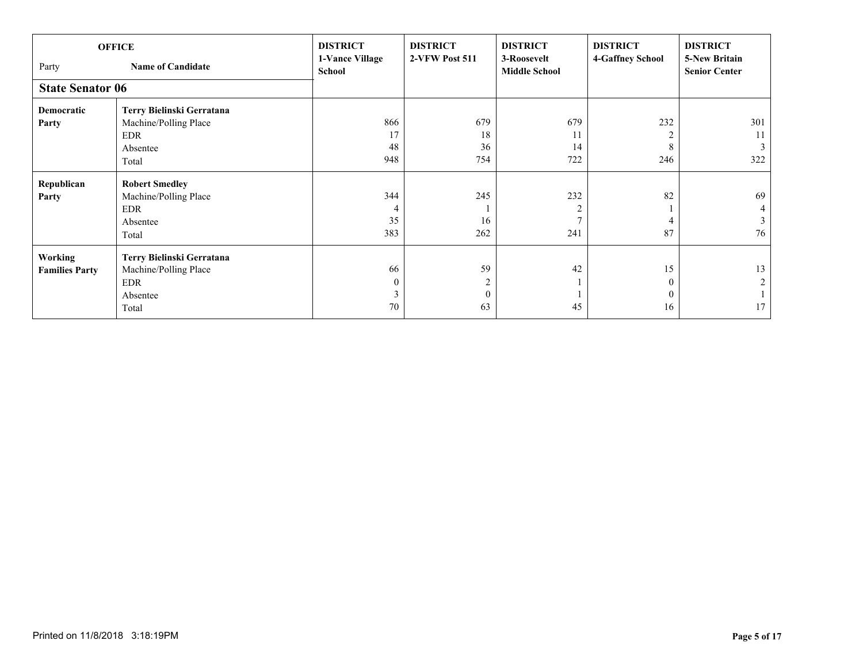| Party                   | <b>OFFICE</b><br><b>Name of Candidate</b> | <b>DISTRICT</b><br>1-Vance Village<br><b>School</b> | <b>DISTRICT</b><br>2-VFW Post 511 | <b>DISTRICT</b><br>3-Roosevelt<br><b>Middle School</b> | <b>DISTRICT</b><br>4-Gaffney School | <b>DISTRICT</b><br><b>5-New Britain</b><br><b>Senior Center</b> |
|-------------------------|-------------------------------------------|-----------------------------------------------------|-----------------------------------|--------------------------------------------------------|-------------------------------------|-----------------------------------------------------------------|
| <b>State Senator 06</b> |                                           |                                                     |                                   |                                                        |                                     |                                                                 |
| Democratic              | Terry Bielinski Gerratana                 |                                                     |                                   |                                                        |                                     |                                                                 |
| Party                   | Machine/Polling Place                     | 866                                                 | 679                               | 679                                                    | 232                                 | 301                                                             |
|                         | <b>EDR</b>                                | 17                                                  | 18                                | 11                                                     |                                     | 11                                                              |
|                         | Absentee                                  | 48                                                  | 36                                | 14                                                     | 8                                   | 3                                                               |
|                         | Total                                     | 948                                                 | 754                               | 722                                                    | 246                                 | 322                                                             |
| Republican              | <b>Robert Smedley</b>                     |                                                     |                                   |                                                        |                                     |                                                                 |
| Party                   | Machine/Polling Place                     | 344                                                 | 245                               | 232                                                    | 82                                  | 69                                                              |
|                         | <b>EDR</b>                                | $\overline{4}$                                      |                                   |                                                        |                                     | 4                                                               |
|                         | Absentee                                  | 35                                                  | 16                                |                                                        |                                     | 3                                                               |
|                         | Total                                     | 383                                                 | 262                               | 241                                                    | 87                                  | 76                                                              |
| <b>Working</b>          | Terry Bielinski Gerratana                 |                                                     |                                   |                                                        |                                     |                                                                 |
| <b>Families Party</b>   | Machine/Polling Place                     | 66                                                  | 59                                | 42                                                     | 15                                  | 13                                                              |
|                         | <b>EDR</b>                                | 0                                                   | $\overline{2}$                    |                                                        | $\Omega$                            | $\overline{2}$                                                  |
|                         | Absentee                                  |                                                     | $\mathbf{0}$                      |                                                        | 0                                   |                                                                 |
|                         | Total                                     | 70                                                  | 63                                | 45                                                     | 16                                  | 17                                                              |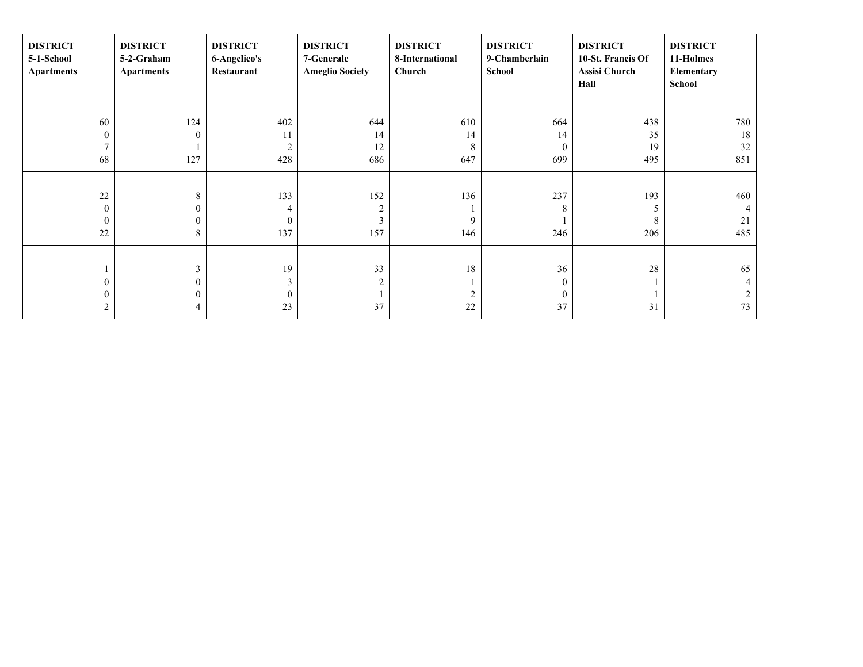| <b>DISTRICT</b><br>5-1-School<br><b>Apartments</b> | <b>DISTRICT</b><br>5-2-Graham<br><b>Apartments</b> | <b>DISTRICT</b><br>6-Angelico's<br>Restaurant | <b>DISTRICT</b><br>7-Generale<br><b>Ameglio Society</b> | <b>DISTRICT</b><br>8-International<br>Church | <b>DISTRICT</b><br>9-Chamberlain<br>School | <b>DISTRICT</b><br>10-St. Francis Of<br><b>Assisi Church</b><br>Hall | <b>DISTRICT</b><br>11-Holmes<br>Elementary<br><b>School</b> |
|----------------------------------------------------|----------------------------------------------------|-----------------------------------------------|---------------------------------------------------------|----------------------------------------------|--------------------------------------------|----------------------------------------------------------------------|-------------------------------------------------------------|
|                                                    |                                                    |                                               |                                                         |                                              |                                            |                                                                      |                                                             |
| 60                                                 | 124                                                | 402                                           | 644                                                     | 610                                          | 664                                        | 438                                                                  | 780                                                         |
| $\mathbf{0}$                                       | $\Omega$                                           | 11                                            | 14                                                      | 14                                           | 14                                         | 35                                                                   | 18                                                          |
| $\tau$                                             |                                                    | $\overline{2}$                                | 12                                                      | 8                                            | $\Omega$                                   | 19                                                                   | 32                                                          |
| 68                                                 | 127                                                | 428                                           | 686                                                     | 647                                          | 699                                        | 495                                                                  | 851                                                         |
|                                                    |                                                    |                                               |                                                         |                                              |                                            |                                                                      |                                                             |
| 22                                                 | 8                                                  | 133                                           | 152                                                     | 136                                          | 237                                        | 193                                                                  | 460                                                         |
| $\boldsymbol{0}$                                   | 0                                                  | 4                                             | $\overline{c}$                                          |                                              | 8                                          | 5                                                                    |                                                             |
| $\mathbf{0}$                                       | 0                                                  | $\Omega$                                      | 3                                                       | 9                                            |                                            | 8                                                                    | 21                                                          |
| 22                                                 | 8                                                  | 137                                           | 157                                                     | 146                                          | 246                                        | 206                                                                  | 485                                                         |
|                                                    |                                                    |                                               |                                                         |                                              |                                            |                                                                      |                                                             |
|                                                    | 3                                                  | 19                                            | 33                                                      | 18                                           | 36                                         | $28\,$                                                               | 65                                                          |
| $\boldsymbol{0}$                                   | $\mathbf{0}$                                       | 3                                             | $\overline{c}$                                          |                                              | $\theta$                                   |                                                                      |                                                             |
| 0                                                  | $\theta$                                           | $\theta$                                      |                                                         | 2                                            | $\theta$                                   |                                                                      | 2                                                           |
| 2                                                  | 4                                                  | 23                                            | 37                                                      | 22                                           | 37                                         | 31                                                                   | 73                                                          |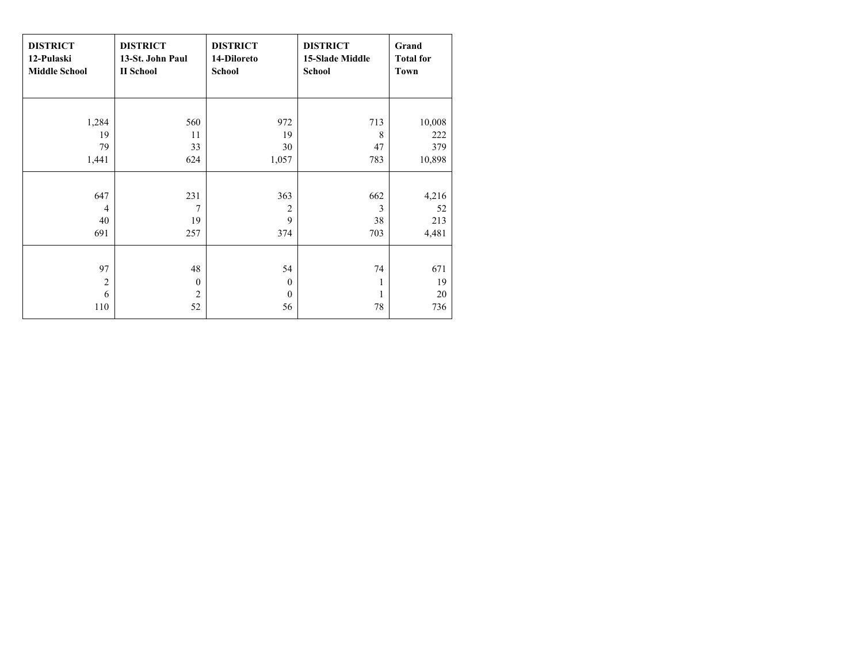| <b>DISTRICT</b><br>12-Pulaski<br><b>Middle School</b> | <b>DISTRICT</b><br>13-St. John Paul<br><b>II</b> School | <b>DISTRICT</b><br>14-Diloreto<br><b>School</b> | <b>DISTRICT</b><br><b>15-Slade Middle</b><br><b>School</b> | Grand<br><b>Total for</b><br>Town |
|-------------------------------------------------------|---------------------------------------------------------|-------------------------------------------------|------------------------------------------------------------|-----------------------------------|
|                                                       |                                                         |                                                 |                                                            |                                   |
| 1,284                                                 | 560                                                     | 972                                             | 713                                                        | 10,008                            |
| 19                                                    | 11                                                      | 19                                              | 8                                                          | 222                               |
| 79                                                    | 33                                                      | 30                                              | 47                                                         | 379                               |
| 1,441                                                 | 624                                                     | 1,057                                           | 783                                                        | 10,898                            |
|                                                       |                                                         |                                                 |                                                            |                                   |
| 647                                                   | 231                                                     | 363                                             | 662                                                        | 4,216                             |
| 4                                                     | 7                                                       | $\overline{2}$                                  | 3                                                          | 52                                |
| 40                                                    | 19                                                      | 9                                               | 38                                                         | 213                               |
| 691                                                   | 257                                                     | 374                                             | 703                                                        | 4,481                             |
|                                                       |                                                         |                                                 |                                                            |                                   |
| 97                                                    | 48                                                      | 54                                              | 74                                                         | 671                               |
| $\overline{2}$                                        | $\theta$                                                | $\theta$                                        | 1                                                          | 19                                |
| 6                                                     | $\overline{c}$                                          | $\mathbf{0}$                                    | 1                                                          | 20                                |
| 110                                                   | 52                                                      | 56                                              | 78                                                         | 736                               |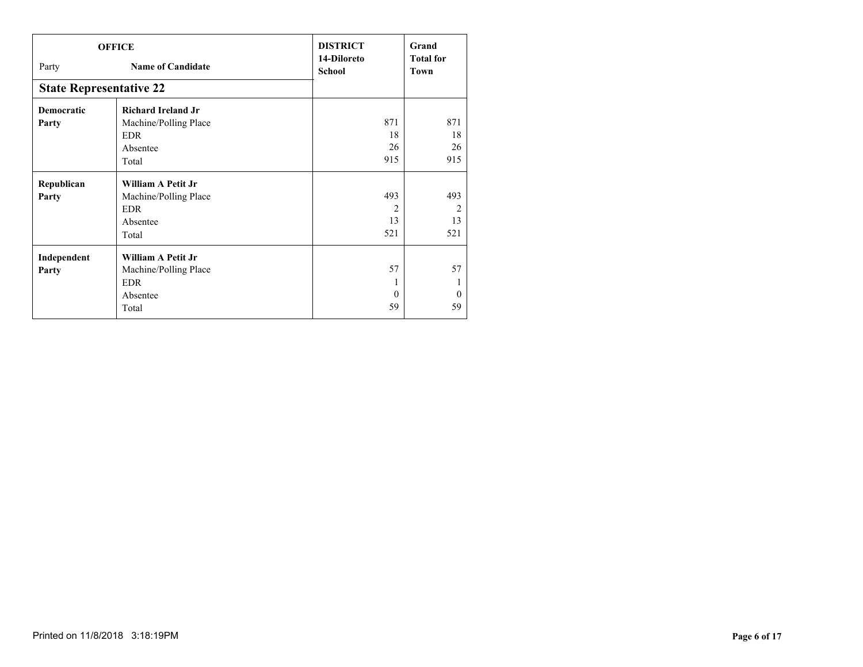|                                | <b>OFFICE</b>             | <b>DISTRICT</b>              | Grand                    |
|--------------------------------|---------------------------|------------------------------|--------------------------|
| Party                          | <b>Name of Candidate</b>  | 14-Diloreto<br><b>School</b> | <b>Total for</b><br>Town |
| <b>State Representative 22</b> |                           |                              |                          |
| <b>Democratic</b>              | <b>Richard Ireland Jr</b> |                              |                          |
| Party                          | Machine/Polling Place     | 871                          | 871                      |
|                                | <b>EDR</b>                | 18                           | 18                       |
|                                | Absentee                  | 26                           | 26                       |
|                                | Total                     | 915                          | 915                      |
| Republican                     | <b>William A Petit Jr</b> |                              |                          |
| Party                          | Machine/Polling Place     | 493                          | 493                      |
|                                | EDR                       | $\overline{2}$               | $\overline{2}$           |
|                                | Absentee                  | 13                           | 13                       |
|                                | Total                     | 521                          | 521                      |
| Independent                    | <b>William A Petit Jr</b> |                              |                          |
| Party                          | Machine/Polling Place     | 57                           | 57                       |
|                                | <b>EDR</b>                | 1                            | л.                       |
|                                | Absentee                  | $\Omega$                     | $\theta$                 |
|                                | Total                     | 59                           | 59                       |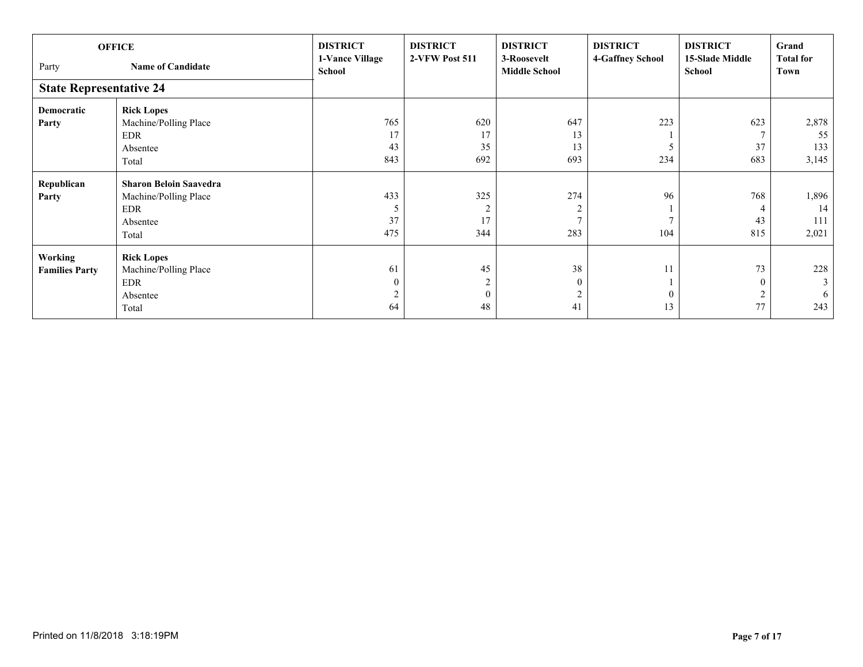| Party<br><b>State Representative 24</b> | <b>OFFICE</b><br><b>Name of Candidate</b>                                          | <b>DISTRICT</b><br>1-Vance Village<br>School | <b>DISTRICT</b><br>2-VFW Post 511          | <b>DISTRICT</b><br>3-Roosevelt<br><b>Middle School</b> | <b>DISTRICT</b><br>4-Gaffney School | <b>DISTRICT</b><br><b>15-Slade Middle</b><br>School | Grand<br><b>Total for</b><br>Town |
|-----------------------------------------|------------------------------------------------------------------------------------|----------------------------------------------|--------------------------------------------|--------------------------------------------------------|-------------------------------------|-----------------------------------------------------|-----------------------------------|
| Democratic                              | <b>Rick Lopes</b>                                                                  | 765                                          | 620                                        | 647                                                    | 223                                 | 623                                                 | 2,878                             |
| Party                                   | Machine/Polling Place<br>EDR<br>Absentee<br>Total                                  | 17<br>43<br>843                              | 17<br>35<br>692                            | 13<br>13<br>693                                        | 234                                 | 37<br>683                                           | 55<br>133<br>3,145                |
| Republican<br>Party                     | <b>Sharon Beloin Saavedra</b><br>Machine/Polling Place<br>EDR<br>Absentee<br>Total | 433<br>5<br>37<br>475                        | 325<br>$\overline{2}$<br>17<br>344         | 274<br>2<br>283                                        | 96<br>104                           | 768<br>$\overline{4}$<br>43<br>815                  | 1,896<br>14<br>111<br>2,021       |
| <b>Working</b><br><b>Families Party</b> | <b>Rick Lopes</b><br>Machine/Polling Place<br><b>EDR</b><br>Absentee<br>Total      | 61<br>$\mathbf{0}$<br>$\overline{2}$<br>64   | 45<br>$\overline{c}$<br>$\mathbf{0}$<br>48 | 38<br>$\mathbf{0}$<br>$\overline{2}$<br>41             | 11<br>$\theta$<br>13                | 73<br>$\mathbf{0}$<br>$\overline{c}$<br>77          | 228<br>$\mathfrak{Z}$<br>6<br>243 |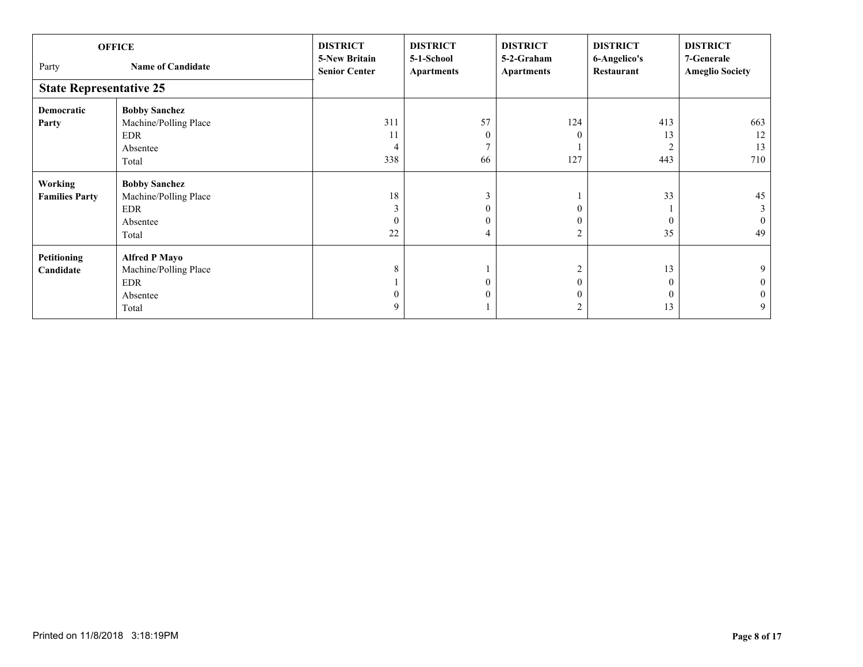| Party                                   | <b>OFFICE</b><br><b>Name of Candidate</b>                                 | <b>DISTRICT</b><br><b>5-New Britain</b><br><b>Senior Center</b> | <b>DISTRICT</b><br>5-1-School<br><b>Apartments</b>      | <b>DISTRICT</b><br>5-2-Graham<br><b>Apartments</b> | <b>DISTRICT</b><br>6-Angelico's<br>Restaurant | <b>DISTRICT</b><br>7-Generale<br><b>Ameglio Society</b> |
|-----------------------------------------|---------------------------------------------------------------------------|-----------------------------------------------------------------|---------------------------------------------------------|----------------------------------------------------|-----------------------------------------------|---------------------------------------------------------|
| <b>State Representative 25</b>          |                                                                           |                                                                 |                                                         |                                                    |                                               |                                                         |
| <b>Democratic</b><br>Party              | <b>Bobby Sanchez</b><br>Machine/Polling Place<br>EDR<br>Absentee<br>Total | 311<br>11<br>338                                                | 57<br>$\boldsymbol{0}$<br>66                            | 124<br>$\Omega$<br>127                             | 413<br>13<br>443                              | 663<br>12<br>13<br>710                                  |
| <b>Working</b><br><b>Families Party</b> | <b>Bobby Sanchez</b><br>Machine/Polling Place<br>EDR<br>Absentee<br>Total | 18<br>3<br>22                                                   | 3<br>$\boldsymbol{0}$<br>$\mathbf{0}$<br>$\overline{4}$ | 2                                                  | 33<br>$\Omega$<br>35                          | 45<br>3<br>$\overline{0}$<br>49                         |
| Petitioning<br>Candidate                | <b>Alfred P Mayo</b><br>Machine/Polling Place<br>EDR<br>Absentee<br>Total | 8<br>9                                                          | $\mathbf{0}$<br>$\mathbf{0}$                            | $\mathcal{L}$<br>2                                 | 13<br>$\theta$<br>$\Omega$<br>13              | 9<br>$\overline{0}$<br>$\mathbf{0}$<br>9 <sup>1</sup>   |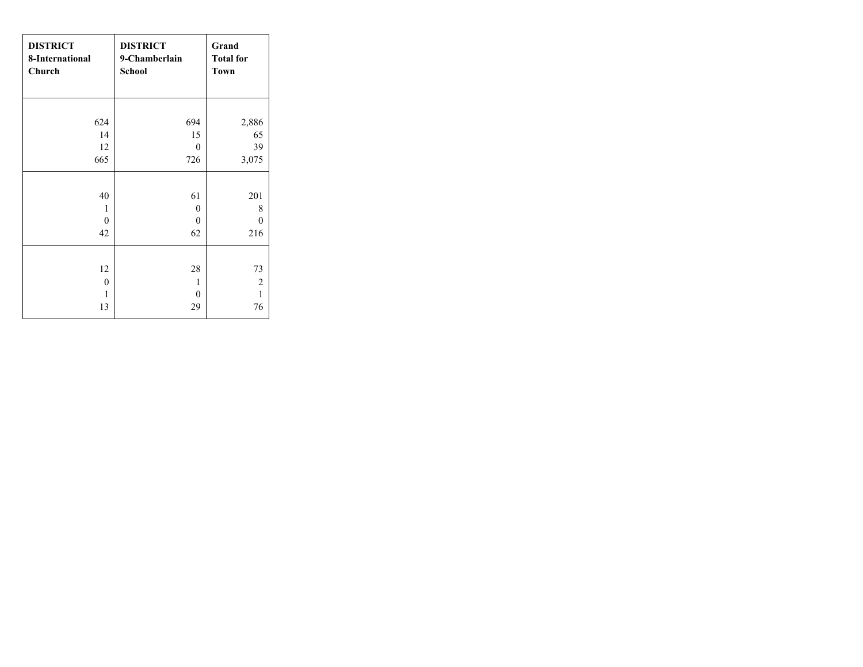| <b>DISTRICT</b><br>8-International<br>Church | <b>DISTRICT</b><br>9-Chamberlain<br><b>School</b> | Grand<br><b>Total for</b><br><b>Town</b> |
|----------------------------------------------|---------------------------------------------------|------------------------------------------|
| 624                                          | 694                                               | 2,886                                    |
| 14                                           | 15                                                | 65                                       |
| 12                                           | $\theta$                                          | 39                                       |
| 665                                          | 726                                               | 3,075                                    |
|                                              |                                                   |                                          |
| 40                                           | 61                                                | 201                                      |
| 1                                            | $\theta$                                          | 8                                        |
| $\theta$                                     | $\theta$                                          | 0                                        |
| 42                                           | 62                                                | 216                                      |
|                                              |                                                   |                                          |
| 12                                           | 28                                                | 73                                       |
| $\mathbf{0}$                                 | 1                                                 | $\sqrt{2}$                               |
| 1                                            | $\theta$                                          | $\mathbf{1}$                             |
| 13                                           | 29                                                | 76                                       |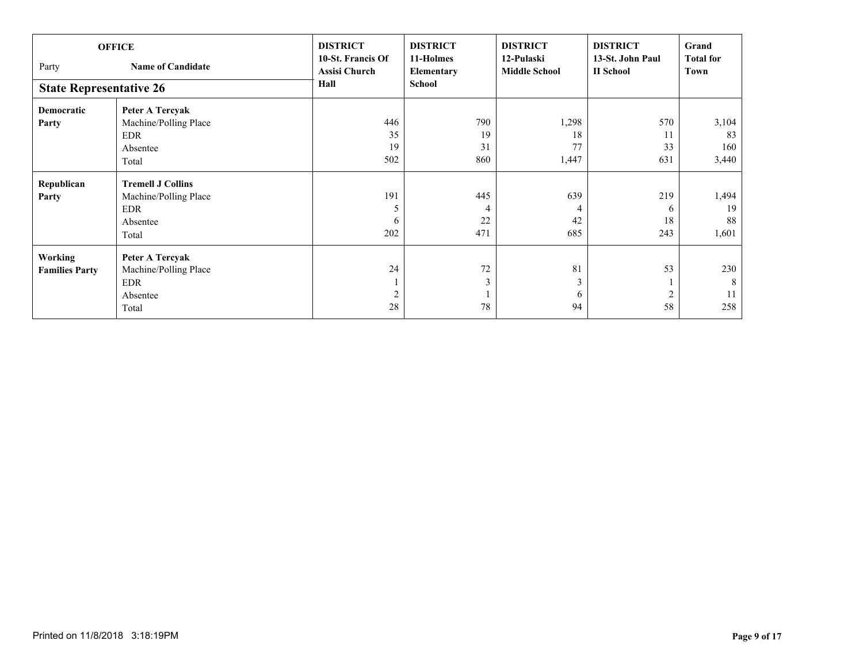| Party<br><b>State Representative 26</b> | <b>OFFICE</b><br><b>Name of Candidate</b> | <b>DISTRICT</b><br>10-St. Francis Of<br><b>Assisi Church</b><br>Hall | <b>DISTRICT</b><br>11-Holmes<br>Elementary<br><b>School</b> | <b>DISTRICT</b><br>12-Pulaski<br><b>Middle School</b> | <b>DISTRICT</b><br>13-St. John Paul<br><b>II</b> School | Grand<br><b>Total for</b><br>Town |
|-----------------------------------------|-------------------------------------------|----------------------------------------------------------------------|-------------------------------------------------------------|-------------------------------------------------------|---------------------------------------------------------|-----------------------------------|
| <b>Democratic</b>                       | Peter A Tercyak                           |                                                                      |                                                             |                                                       |                                                         |                                   |
| Party                                   | Machine/Polling Place                     | 446                                                                  | 790                                                         | 1,298                                                 | 570                                                     | 3,104                             |
|                                         | EDR                                       | 35                                                                   | 19                                                          | 18                                                    | 11                                                      | 83                                |
|                                         | Absentee                                  | 19                                                                   | 31                                                          | 77                                                    | 33                                                      | 160                               |
|                                         | Total                                     | 502                                                                  | 860                                                         | 1,447                                                 | 631                                                     | 3,440                             |
| Republican                              | <b>Tremell J Collins</b>                  |                                                                      |                                                             |                                                       |                                                         |                                   |
| Party                                   | Machine/Polling Place                     | 191                                                                  | 445                                                         | 639                                                   | 219                                                     | 1,494                             |
|                                         | <b>EDR</b>                                | 5                                                                    | 4                                                           |                                                       | 6                                                       | 19                                |
|                                         | Absentee                                  | 6                                                                    | 22                                                          | 42                                                    | 18                                                      | 88                                |
|                                         | Total                                     | 202                                                                  | 471                                                         | 685                                                   | 243                                                     | 1,601                             |
| Working                                 | Peter A Tercyak                           |                                                                      |                                                             |                                                       |                                                         |                                   |
| <b>Families Party</b>                   | Machine/Polling Place                     | 24                                                                   | $72\,$                                                      | 81                                                    | 53                                                      | 230                               |
|                                         | EDR                                       |                                                                      | 3                                                           | 3                                                     |                                                         | 8                                 |
|                                         | Absentee                                  | $\overline{2}$                                                       |                                                             | 6                                                     |                                                         | 11                                |
|                                         | Total                                     | 28                                                                   | 78                                                          | 94                                                    | 58                                                      | 258                               |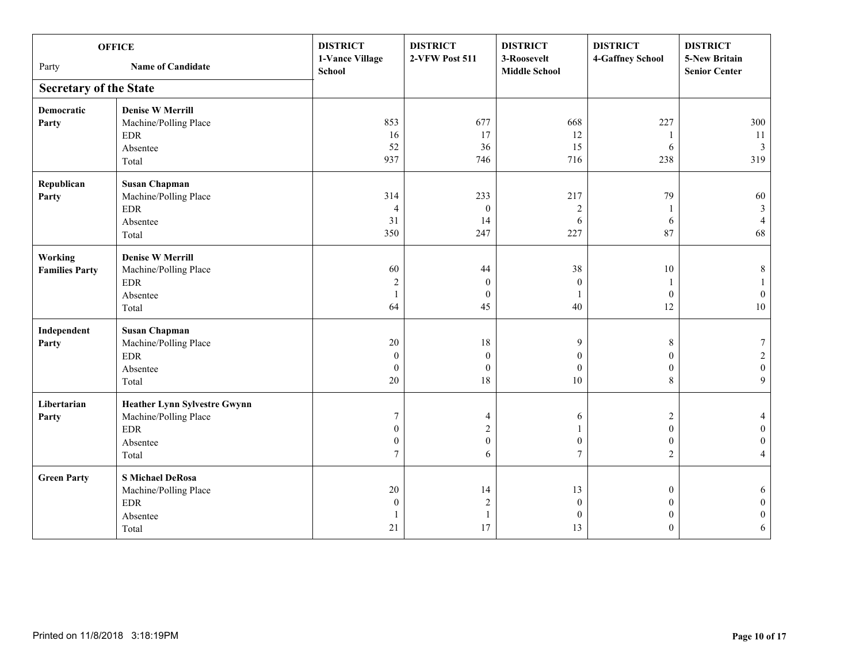| <b>OFFICE</b>                 |                                     | <b>DISTRICT</b>                  | <b>DISTRICT</b>  | <b>DISTRICT</b>                     | <b>DISTRICT</b>  | <b>DISTRICT</b>                              |
|-------------------------------|-------------------------------------|----------------------------------|------------------|-------------------------------------|------------------|----------------------------------------------|
| Party                         | <b>Name of Candidate</b>            | 1-Vance Village<br><b>School</b> | 2-VFW Post 511   | 3-Roosevelt<br><b>Middle School</b> | 4-Gaffney School | <b>5-New Britain</b><br><b>Senior Center</b> |
| <b>Secretary of the State</b> |                                     |                                  |                  |                                     |                  |                                              |
| <b>Democratic</b>             | <b>Denise W Merrill</b>             |                                  |                  |                                     |                  |                                              |
| Party                         | Machine/Polling Place               | 853                              | 677              | 668                                 | 227              | 300                                          |
|                               | <b>EDR</b>                          | 16                               | 17               | 12                                  | -1               | 11                                           |
|                               | Absentee                            | 52                               | 36               | 15                                  | 6                | $\mathfrak{Z}$                               |
|                               | Total                               | 937                              | 746              | 716                                 | 238              | 319                                          |
| Republican                    | <b>Susan Chapman</b>                |                                  |                  |                                     |                  |                                              |
| Party                         | Machine/Polling Place               | 314                              | 233              | 217                                 | 79               | 60                                           |
|                               | $\rm EDR$                           | $\overline{4}$                   | $\boldsymbol{0}$ | $\sqrt{2}$                          | -1               | $\mathbf{3}$                                 |
|                               | Absentee                            | 31                               | 14               | 6                                   | 6                | $\overline{4}$                               |
|                               | Total                               | 350                              | 247              | 227                                 | 87               | 68                                           |
| Working                       | <b>Denise W Merrill</b>             |                                  |                  |                                     |                  |                                              |
| <b>Families Party</b>         | Machine/Polling Place               | 60                               | 44               | 38                                  | 10               | $\,$ 8 $\,$                                  |
|                               | $\ensuremath{\mathrm{EDR}}$         | $\sqrt{2}$                       | $\boldsymbol{0}$ | $\mathbf{0}$                        |                  | 1                                            |
|                               | Absentee                            | $\overline{1}$                   | $\mathbf{0}$     | $\mathbf{1}$                        | $\mathbf{0}$     | $\boldsymbol{0}$                             |
|                               | Total                               | 64                               | 45               | 40                                  | 12               | $10\,$                                       |
| Independent                   | <b>Susan Chapman</b>                |                                  |                  |                                     |                  |                                              |
| Party                         | Machine/Polling Place               | 20                               | 18               | 9                                   | 8                | 7                                            |
|                               | <b>EDR</b>                          | $\mathbf{0}$                     | $\mathbf{0}$     | $\theta$                            | $\mathbf{0}$     | $\overline{c}$                               |
|                               | Absentee                            | $\mathbf{0}$                     | $\mathbf{0}$     | $\mathbf{0}$                        | $\mathbf{0}$     | $\boldsymbol{0}$                             |
|                               | Total                               | 20                               | 18               | 10                                  | 8                | 9                                            |
| Libertarian                   | <b>Heather Lynn Sylvestre Gwynn</b> |                                  |                  |                                     |                  |                                              |
| Party                         | Machine/Polling Place               | $\overline{7}$                   | 4                | 6                                   | $\overline{2}$   | 4                                            |
|                               | $\ensuremath{\mathrm{EDR}}$         | $\theta$                         | $\overline{c}$   |                                     | $\theta$         | $\mathbf{0}$                                 |
|                               | Absentee                            | $\mathbf{0}$                     | $\mathbf{0}$     | $\mathbf{0}$                        | $\mathbf{0}$     | $\Omega$                                     |
|                               | Total                               | $7\phantom{.0}$                  | 6                | $\tau$                              | $\sqrt{2}$       | $\overline{4}$                               |
| <b>Green Party</b>            | <b>S Michael DeRosa</b>             |                                  |                  |                                     |                  |                                              |
|                               | Machine/Polling Place               | 20                               | 14               | 13                                  | $\boldsymbol{0}$ | 6                                            |
|                               | $\ensuremath{\mathrm{EDR}}$         | $\mathbf{0}$                     | $\sqrt{2}$       | $\boldsymbol{0}$                    | $\mathbf{0}$     | $\mathbf{0}$                                 |
|                               | Absentee                            |                                  | $\mathbf{1}$     | $\boldsymbol{0}$                    | $\mathbf{0}$     | $\boldsymbol{0}$                             |
|                               | Total                               | 21                               | 17               | 13                                  | $\theta$         | 6                                            |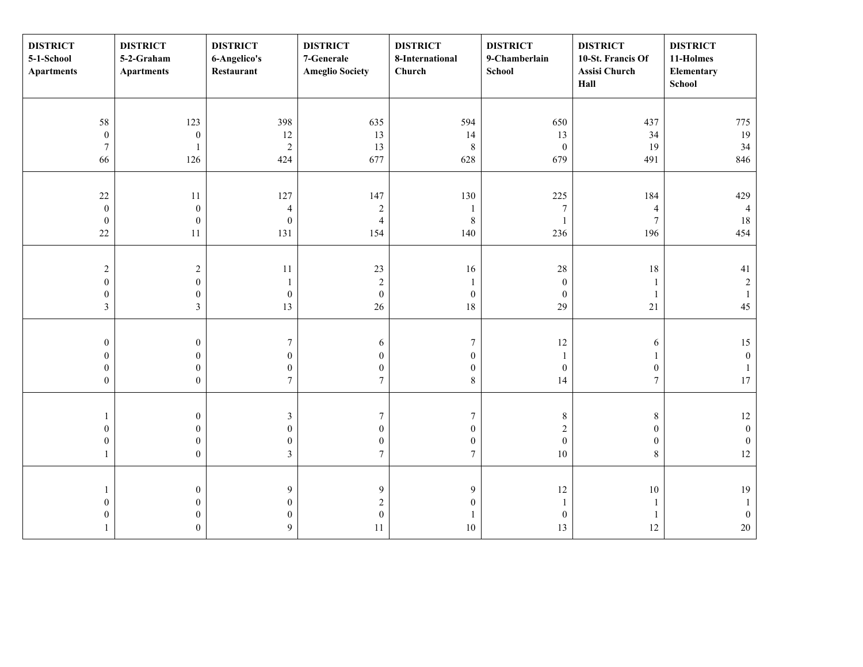| <b>DISTRICT</b><br>5-1-School<br><b>Apartments</b> | <b>DISTRICT</b><br>5-2-Graham<br><b>Apartments</b> | <b>DISTRICT</b><br>6-Angelico's<br>Restaurant | <b>DISTRICT</b><br>7-Generale<br><b>Ameglio Society</b> | <b>DISTRICT</b><br>8-International<br>Church | <b>DISTRICT</b><br>9-Chamberlain<br>School | <b>DISTRICT</b><br>10-St. Francis Of<br>Assisi Church<br>Hall | <b>DISTRICT</b><br>11-Holmes<br>Elementary<br><b>School</b> |
|----------------------------------------------------|----------------------------------------------------|-----------------------------------------------|---------------------------------------------------------|----------------------------------------------|--------------------------------------------|---------------------------------------------------------------|-------------------------------------------------------------|
|                                                    |                                                    |                                               |                                                         |                                              |                                            |                                                               |                                                             |
| 58                                                 | 123                                                | 398                                           | 635                                                     | 594                                          | 650                                        | 437                                                           | 775                                                         |
| $\boldsymbol{0}$                                   | $\boldsymbol{0}$                                   | 12                                            | 13                                                      | 14                                           | 13                                         | 34                                                            | 19                                                          |
| $\boldsymbol{7}$                                   | 1                                                  | $\sqrt{2}$                                    | 13                                                      | $\,8\,$                                      | $\boldsymbol{0}$                           | 19                                                            | 34                                                          |
| 66                                                 | 126                                                | 424                                           | 677                                                     | 628                                          | 679                                        | 491                                                           | 846                                                         |
|                                                    |                                                    |                                               |                                                         |                                              |                                            |                                                               |                                                             |
| $22\,$                                             | $11\,$                                             | 127                                           | 147                                                     | 130                                          | 225                                        | 184                                                           | 429                                                         |
| $\boldsymbol{0}$                                   | $\boldsymbol{0}$                                   | $\sqrt{4}$                                    | $\sqrt{2}$                                              | 1                                            | $\boldsymbol{7}$                           | $\overline{4}$                                                | $\overline{4}$                                              |
| $\boldsymbol{0}$                                   | $\boldsymbol{0}$                                   | $\boldsymbol{0}$                              | $\overline{4}$                                          | $\,8\,$                                      | $\mathbf{1}$                               | $\sqrt{ }$                                                    | 18                                                          |
| $22\,$                                             | $11\,$                                             | 131                                           | 154                                                     | 140                                          | 236                                        | 196                                                           | 454                                                         |
|                                                    |                                                    |                                               |                                                         |                                              |                                            |                                                               |                                                             |
| $\sqrt{2}$                                         | $\overline{c}$                                     | 11                                            | 23                                                      | 16                                           | 28                                         | 18                                                            | 41                                                          |
| $\boldsymbol{0}$                                   | $\boldsymbol{0}$                                   | -1                                            | $\sqrt{2}$                                              |                                              | $\boldsymbol{0}$                           | $\mathbf{1}$                                                  | $\sqrt{2}$                                                  |
| $\boldsymbol{0}$                                   | $\boldsymbol{0}$                                   | $\boldsymbol{0}$                              | $\boldsymbol{0}$                                        | $\boldsymbol{0}$                             | $\boldsymbol{0}$                           | $\mathbf{1}$                                                  | $\mathbf{1}$                                                |
| $\mathfrak{Z}$                                     | $\overline{\mathbf{3}}$                            | 13                                            | $26\,$                                                  | $18\,$                                       | 29                                         | 21                                                            | 45                                                          |
|                                                    |                                                    |                                               |                                                         |                                              |                                            |                                                               |                                                             |
|                                                    |                                                    |                                               |                                                         |                                              |                                            |                                                               |                                                             |
| $\boldsymbol{0}$                                   | $\boldsymbol{0}$                                   | $\boldsymbol{7}$                              | $\sqrt{6}$                                              | $\boldsymbol{7}$                             | 12                                         | $\sqrt{6}$                                                    | 15                                                          |
| $\boldsymbol{0}$                                   | $\boldsymbol{0}$                                   | $\boldsymbol{0}$                              | $\boldsymbol{0}$                                        | $\boldsymbol{0}$                             | $\mathbf{1}$                               | $\mathbf{1}$                                                  | $\boldsymbol{0}$                                            |
| $\boldsymbol{0}$                                   | $\boldsymbol{0}$                                   | $\mathbf{0}$                                  | $\boldsymbol{0}$                                        | $\boldsymbol{0}$                             | $\boldsymbol{0}$                           | $\boldsymbol{0}$                                              | $\mathbf{1}$                                                |
| $\boldsymbol{0}$                                   | $\overline{0}$                                     | $\tau$                                        | $\boldsymbol{7}$                                        | $\,8\,$                                      | 14                                         | $\boldsymbol{7}$                                              | $17\,$                                                      |
|                                                    |                                                    |                                               |                                                         |                                              |                                            |                                                               |                                                             |
| 1                                                  | $\boldsymbol{0}$                                   | $\mathfrak z$                                 | $\boldsymbol{7}$                                        | $\overline{7}$                               | $\,$ $\,$                                  | $\,$ $\,$                                                     | $12\,$                                                      |
| $\boldsymbol{0}$                                   | $\boldsymbol{0}$                                   | $\boldsymbol{0}$                              | $\boldsymbol{0}$                                        | $\boldsymbol{0}$                             | $\overline{c}$                             | $\boldsymbol{0}$                                              | $\boldsymbol{0}$                                            |
| $\boldsymbol{0}$                                   | $\boldsymbol{0}$                                   | $\boldsymbol{0}$                              | $\boldsymbol{0}$                                        | $\boldsymbol{0}$                             | $\boldsymbol{0}$                           | $\boldsymbol{0}$                                              | $\boldsymbol{0}$                                            |
| $\mathbf{1}$                                       | $\boldsymbol{0}$                                   | $\mathfrak{Z}$                                | $\boldsymbol{7}$                                        | $\overline{7}$                               | 10                                         | $8\,$                                                         | $12\,$                                                      |
|                                                    |                                                    |                                               |                                                         |                                              |                                            |                                                               |                                                             |
| 1                                                  | $\boldsymbol{0}$                                   | 9                                             | $\boldsymbol{9}$                                        | 9                                            | $12\,$                                     | $10\,$                                                        | $19\,$                                                      |
| $\boldsymbol{0}$                                   | $\boldsymbol{0}$                                   | $\mathbf{0}$                                  | $\sqrt{2}$                                              | $\overline{0}$                               | $\mathbf{1}$                               | $\mathbf{1}$                                                  | 1                                                           |
| $\boldsymbol{0}$                                   | $\boldsymbol{0}$                                   | $\mathbf{0}$                                  | $\boldsymbol{0}$                                        |                                              | $\boldsymbol{0}$                           | $\,1\,$                                                       | $\boldsymbol{0}$                                            |
| $\mathbf{1}$                                       | $\boldsymbol{0}$                                   | 9                                             | $11\,$                                                  | $10\,$                                       | 13                                         | 12                                                            | $20\,$                                                      |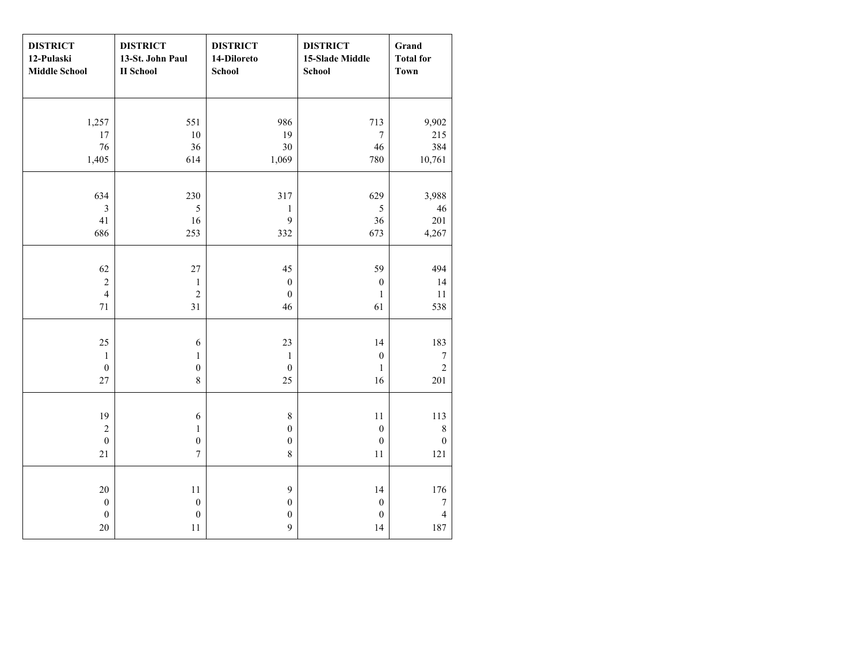| <b>DISTRICT</b><br>12-Pulaski<br><b>Middle School</b> | <b>DISTRICT</b><br>13-St. John Paul<br><b>II</b> School | <b>DISTRICT</b><br>14-Diloreto<br><b>School</b> | <b>DISTRICT</b><br>15-Slade Middle<br><b>School</b> | Grand<br><b>Total for</b><br><b>Town</b> |
|-------------------------------------------------------|---------------------------------------------------------|-------------------------------------------------|-----------------------------------------------------|------------------------------------------|
|                                                       |                                                         |                                                 |                                                     |                                          |
| 1,257                                                 | 551                                                     | 986                                             | 713                                                 | 9,902                                    |
| 17                                                    | $10\,$                                                  | 19                                              | $\boldsymbol{7}$                                    | 215                                      |
| 76                                                    | 36                                                      | 30                                              | $46\,$                                              | 384                                      |
| 1,405                                                 | 614                                                     | 1,069                                           | 780                                                 | 10,761                                   |
|                                                       |                                                         |                                                 |                                                     |                                          |
| 634                                                   | 230                                                     | 317                                             | 629                                                 | 3,988                                    |
| $\overline{\mathbf{3}}$                               | $\sqrt{5}$                                              | $\,1$                                           | 5                                                   | 46                                       |
| 41                                                    | 16                                                      | 9                                               | 36                                                  | 201                                      |
| 686                                                   | 253                                                     | 332                                             | 673                                                 | 4,267                                    |
|                                                       |                                                         |                                                 |                                                     |                                          |
| 62                                                    | $27\,$                                                  | 45                                              | 59                                                  | 494                                      |
| $\overline{c}$                                        | $\mathbf 1$                                             | $\boldsymbol{0}$                                | $\boldsymbol{0}$                                    | 14                                       |
| $\overline{4}$                                        | $\sqrt{2}$                                              | $\mathbf{0}$                                    | 1                                                   | $11\,$                                   |
| 71                                                    | 31                                                      | 46                                              | 61                                                  | 538                                      |
|                                                       |                                                         |                                                 |                                                     |                                          |
| 25                                                    | 6                                                       | 23                                              | 14                                                  | 183                                      |
| $\mathbf 1$                                           | $\mathbf{1}$                                            | $\,1\,$                                         | $\boldsymbol{0}$                                    | $\boldsymbol{7}$                         |
| $\boldsymbol{0}$                                      | $\boldsymbol{0}$                                        | $\boldsymbol{0}$                                | $\mathbf{1}$                                        | $\sqrt{2}$                               |
| 27                                                    | $\,8\,$                                                 | 25                                              | 16                                                  | 201                                      |
|                                                       |                                                         |                                                 |                                                     |                                          |
| 19                                                    | $\sqrt{6}$                                              | $\,$ $\,$                                       | $11\,$                                              | 113                                      |
| $\overline{c}$                                        | $\mathbf{1}$                                            | $\boldsymbol{0}$                                | $\boldsymbol{0}$                                    | $\,$ $\,$                                |
| $\boldsymbol{0}$                                      | $\boldsymbol{0}$                                        | $\boldsymbol{0}$                                | $\boldsymbol{0}$                                    | $\boldsymbol{0}$                         |
| $21\,$                                                | $\boldsymbol{7}$                                        | $\,8$                                           | $11\,$                                              | 121                                      |
|                                                       |                                                         |                                                 |                                                     |                                          |
| 20                                                    | 11                                                      | 9                                               | 14                                                  | 176                                      |
| $\boldsymbol{0}$                                      | $\boldsymbol{0}$                                        | $\boldsymbol{0}$                                | $\boldsymbol{0}$                                    | $\boldsymbol{7}$                         |
| $\boldsymbol{0}$                                      | $\boldsymbol{0}$                                        | $\boldsymbol{0}$                                | $\boldsymbol{0}$                                    | $\overline{4}$                           |
| 20                                                    | 11                                                      | 9                                               | 14                                                  | 187                                      |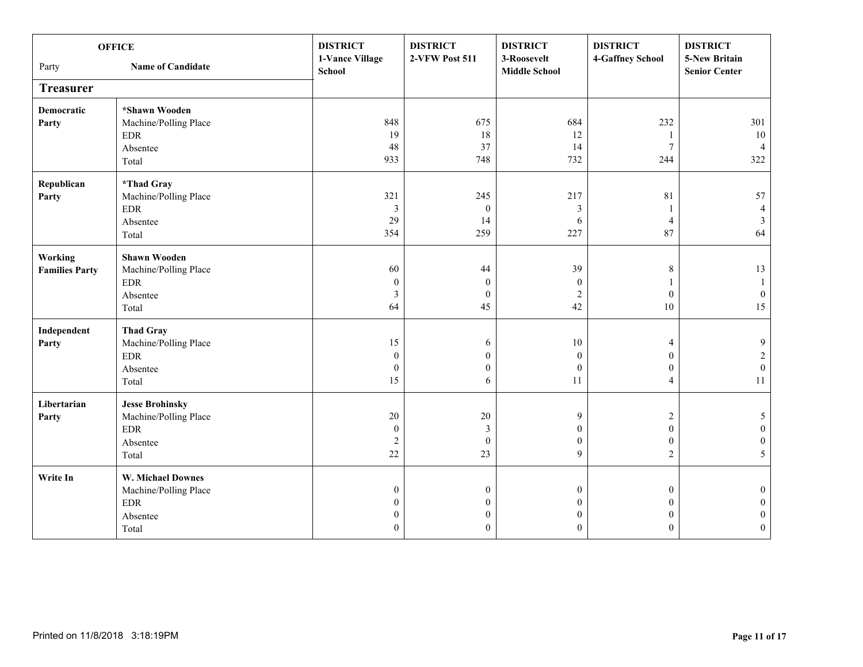|                       | <b>OFFICE</b>               | <b>DISTRICT</b>           | <b>DISTRICT</b>  | <b>DISTRICT</b>                     | <b>DISTRICT</b>  | <b>DISTRICT</b>                       |
|-----------------------|-----------------------------|---------------------------|------------------|-------------------------------------|------------------|---------------------------------------|
| Party                 | <b>Name of Candidate</b>    | 1-Vance Village<br>School | 2-VFW Post 511   | 3-Roosevelt<br><b>Middle School</b> | 4-Gaffney School | 5-New Britain<br><b>Senior Center</b> |
| <b>Treasurer</b>      |                             |                           |                  |                                     |                  |                                       |
| Democratic            | *Shawn Wooden               |                           |                  |                                     |                  |                                       |
| Party                 | Machine/Polling Place       | 848                       | 675              | 684                                 | 232              | 301                                   |
|                       | <b>EDR</b>                  | 19                        | 18               | 12                                  |                  | 10                                    |
|                       | Absentee                    | 48                        | 37               | 14                                  | $7\phantom{.0}$  | $\overline{4}$                        |
|                       | Total                       | 933                       | 748              | 732                                 | 244              | 322                                   |
| Republican            | *Thad Gray                  |                           |                  |                                     |                  |                                       |
| Party                 | Machine/Polling Place       | 321                       | 245              | 217                                 | $81\,$           | 57                                    |
|                       | $\ensuremath{\mathrm{EDR}}$ | 3                         | $\boldsymbol{0}$ | $\mathfrak{Z}$                      |                  | $\overline{4}$                        |
|                       | Absentee                    | 29                        | 14               | 6                                   | $\overline{4}$   | $\mathfrak{Z}$                        |
|                       | Total                       | 354                       | 259              | 227                                 | 87               | 64                                    |
| Working               | <b>Shawn Wooden</b>         |                           |                  |                                     |                  |                                       |
| <b>Families Party</b> | Machine/Polling Place       | 60                        | 44               | 39                                  | 8                | 13                                    |
|                       | <b>EDR</b>                  | $\boldsymbol{0}$          | $\boldsymbol{0}$ | $\theta$                            |                  | $\mathbf{1}$                          |
|                       | Absentee                    | 3                         | $\mathbf{0}$     | $\overline{2}$                      | $\mathbf{0}$     | $\boldsymbol{0}$                      |
|                       | Total                       | 64                        | 45               | 42                                  | $10\,$           | 15                                    |
| Independent           | <b>Thad Gray</b>            |                           |                  |                                     |                  |                                       |
| Party                 | Machine/Polling Place       | 15                        | 6                | $10\,$                              | $\overline{4}$   | $\mathbf{9}$                          |
|                       | $\ensuremath{\mathrm{EDR}}$ | $\boldsymbol{0}$          | $\boldsymbol{0}$ | $\mathbf{0}$                        | $\overline{0}$   | $\overline{c}$                        |
|                       | Absentee                    | $\boldsymbol{0}$          | $\boldsymbol{0}$ | $\boldsymbol{0}$                    | $\boldsymbol{0}$ | $\boldsymbol{0}$                      |
|                       | Total                       | 15                        | 6                | 11                                  | $\overline{4}$   | 11                                    |
| Libertarian           | <b>Jesse Brohinsky</b>      |                           |                  |                                     |                  |                                       |
| Party                 | Machine/Polling Place       | 20                        | $20\,$           | $\mathbf{9}$                        | $\sqrt{2}$       | $\mathfrak{S}$                        |
|                       | <b>EDR</b>                  | $\mathbf{0}$              | $\mathfrak{Z}$   | $\overline{0}$                      | $\mathbf{0}$     | $\boldsymbol{0}$                      |
|                       | Absentee                    | $\overline{c}$            | $\boldsymbol{0}$ | $\overline{0}$                      | $\mathbf{0}$     | $\boldsymbol{0}$                      |
|                       | Total                       | 22                        | 23               | 9                                   | 2                | 5 <sup>5</sup>                        |
| Write In              | <b>W. Michael Downes</b>    |                           |                  |                                     |                  |                                       |
|                       | Machine/Polling Place       | $\mathbf{0}$              | $\boldsymbol{0}$ | $\mathbf{0}$                        | $\overline{0}$   | $\boldsymbol{0}$                      |
|                       | $\ensuremath{\mathrm{EDR}}$ | $\mathbf{0}$              | $\boldsymbol{0}$ | $\mathbf{0}$                        | $\mathbf{0}$     | $\boldsymbol{0}$                      |
|                       | Absentee                    | $\boldsymbol{0}$          | $\boldsymbol{0}$ | $\boldsymbol{0}$                    | $\mathbf{0}$     | $\boldsymbol{0}$                      |
|                       | Total                       | $\theta$                  | $\boldsymbol{0}$ | $\Omega$                            | $\theta$         | $\mathbf{0}$                          |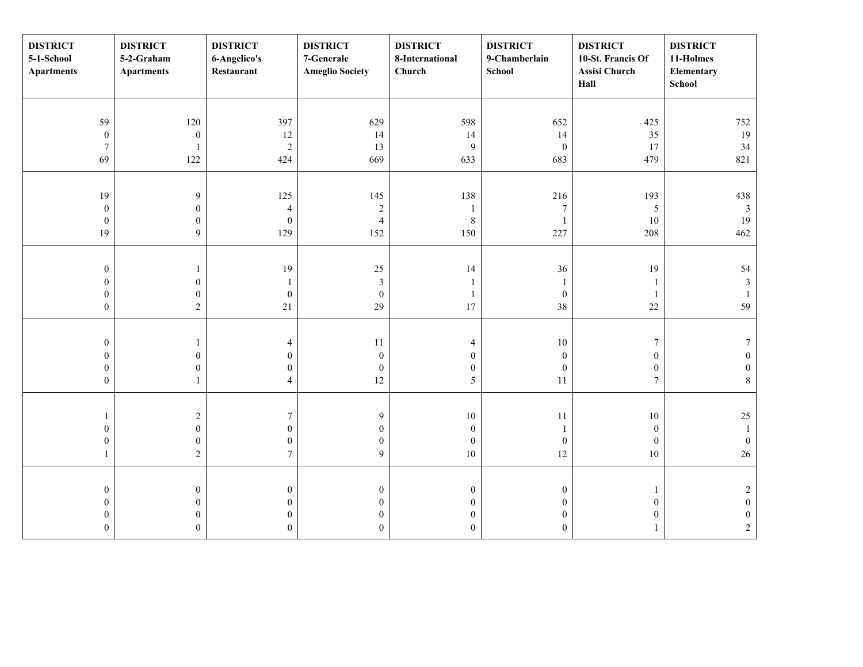| <b>DISTRICT</b><br>5-1-School<br><b>Apartments</b> | <b>DISTRICT</b><br>5-2-Graham<br><b>Apartments</b> | <b>DISTRICT</b><br>6-Angelico's<br>Restaurant | <b>DISTRICT</b><br>7-Generale<br><b>Ameglio Society</b> | <b>DISTRICT</b><br>8-International<br>Church | <b>DISTRICT</b><br>9-Chamberlain<br>School | <b>DISTRICT</b><br>10-St. Francis Of<br>Assisi Church<br>Hall | <b>DISTRICT</b><br>11-Holmes<br>Elementary<br>School |
|----------------------------------------------------|----------------------------------------------------|-----------------------------------------------|---------------------------------------------------------|----------------------------------------------|--------------------------------------------|---------------------------------------------------------------|------------------------------------------------------|
|                                                    |                                                    |                                               |                                                         |                                              |                                            |                                                               |                                                      |
| 59                                                 | 120                                                | 397                                           | 629                                                     | 598                                          | 652                                        | 425                                                           | 752                                                  |
| $\boldsymbol{0}$                                   | $\boldsymbol{0}$                                   | 12                                            | 14                                                      | 14                                           | 14                                         | 35                                                            | 19                                                   |
| $\boldsymbol{7}$                                   | 1                                                  | $\sqrt{2}$                                    | 13                                                      | $\overline{9}$                               | $\boldsymbol{0}$                           | 17                                                            | 34                                                   |
| 69                                                 | 122                                                | 424                                           | 669                                                     | 633                                          | 683                                        | 479                                                           | 821                                                  |
|                                                    |                                                    |                                               |                                                         |                                              |                                            |                                                               |                                                      |
| 19                                                 | 9                                                  | 125                                           | 145                                                     | 138                                          | 216                                        | 193                                                           | 438                                                  |
| $\boldsymbol{0}$                                   | $\boldsymbol{0}$                                   | $\overline{4}$                                | $\sqrt{2}$                                              | -1                                           | $\boldsymbol{7}$                           | 5                                                             | $\mathfrak{Z}$                                       |
| $\boldsymbol{0}$                                   | $\boldsymbol{0}$                                   | $\boldsymbol{0}$                              | $\overline{4}$                                          | $\,8\,$                                      | $\mathbf{1}$                               | $10\,$                                                        | 19                                                   |
| 19                                                 | 9                                                  | 129                                           | 152                                                     | 150                                          | 227                                        | 208                                                           | 462                                                  |
|                                                    |                                                    |                                               |                                                         |                                              |                                            |                                                               |                                                      |
| $\boldsymbol{0}$                                   | 1                                                  | 19                                            | $25\,$                                                  | 14                                           | 36                                         | 19                                                            | 54                                                   |
| $\boldsymbol{0}$                                   | $\boldsymbol{0}$                                   | 1                                             | $\mathfrak{Z}$                                          |                                              | 1                                          | $\overline{1}$                                                | $\mathbf{3}$                                         |
| $\boldsymbol{0}$                                   | $\boldsymbol{0}$                                   | $\boldsymbol{0}$                              | $\boldsymbol{0}$                                        | $\mathbf{1}$                                 | $\boldsymbol{0}$                           | $\overline{1}$                                                | $\mathbf{1}$                                         |
| $\boldsymbol{0}$                                   | $\overline{2}$                                     | 21                                            | 29                                                      | 17                                           | 38                                         | 22                                                            | 59                                                   |
|                                                    |                                                    |                                               |                                                         |                                              |                                            |                                                               |                                                      |
| $\boldsymbol{0}$                                   | $\mathbf{1}$                                       | $\overline{4}$                                | $11\,$                                                  | 4                                            | $10\,$                                     | $\boldsymbol{7}$                                              | $\tau$                                               |
| $\boldsymbol{0}$                                   | $\boldsymbol{0}$                                   | $\mathbf{0}$                                  | $\boldsymbol{0}$                                        | $\boldsymbol{0}$                             | $\boldsymbol{0}$                           | $\boldsymbol{0}$                                              | $\mathbf{0}$                                         |
| $\boldsymbol{0}$                                   | $\boldsymbol{0}$                                   | $\mathbf{0}$                                  | $\boldsymbol{0}$                                        | $\boldsymbol{0}$                             | $\boldsymbol{0}$                           | $\boldsymbol{0}$                                              | $\boldsymbol{0}$                                     |
| $\boldsymbol{0}$                                   | $\mathbf{1}$                                       | $\overline{4}$                                | 12                                                      | 5                                            | 11                                         | $\overline{7}$                                                | $\,8\,$                                              |
|                                                    |                                                    |                                               |                                                         |                                              |                                            |                                                               |                                                      |
| 1                                                  | $\boldsymbol{2}$                                   | $\tau$                                        | $\overline{9}$                                          | $10\,$                                       | 11                                         | $10\,$                                                        | $25\,$                                               |
| $\boldsymbol{0}$                                   | $\boldsymbol{0}$                                   | $\mathbf{0}$                                  | $\boldsymbol{0}$                                        | $\boldsymbol{0}$                             | 1                                          | $\boldsymbol{0}$                                              | $\mathbf{1}$                                         |
| $\boldsymbol{0}$                                   | $\boldsymbol{0}$                                   | $\boldsymbol{0}$                              | $\boldsymbol{0}$                                        | $\boldsymbol{0}$                             | $\boldsymbol{0}$                           | $\boldsymbol{0}$                                              | $\mathbf{0}$                                         |
| $\mathbf{1}$                                       | $\overline{c}$                                     | $\overline{7}$                                | 9                                                       | $10\,$                                       | 12                                         | $10\,$                                                        | $26\,$                                               |
|                                                    |                                                    |                                               |                                                         |                                              |                                            |                                                               |                                                      |
| $\boldsymbol{0}$                                   | $\boldsymbol{0}$                                   | $\boldsymbol{0}$                              | $\boldsymbol{0}$                                        | $\boldsymbol{0}$                             | $\boldsymbol{0}$                           | $\overline{1}$                                                | $\sqrt{2}$                                           |
| $\boldsymbol{0}$                                   | $\boldsymbol{0}$                                   | $\mathbf{0}$                                  | $\boldsymbol{0}$                                        | $\overline{0}$                               | $\mathbf{0}$                               | $\boldsymbol{0}$                                              | $\mathbf{0}$                                         |
| $\boldsymbol{0}$                                   | $\boldsymbol{0}$                                   | $\mathbf{0}$                                  | $\boldsymbol{0}$                                        | $\overline{0}$                               | $\mathbf{0}$                               | $\mathbf{0}$                                                  | $\boldsymbol{0}$                                     |
| $\boldsymbol{0}$                                   | $\boldsymbol{0}$                                   | $\mathbf{0}$                                  | $\boldsymbol{0}$                                        | $\overline{0}$                               | $\mathbf{0}$                               |                                                               | $\sqrt{2}$                                           |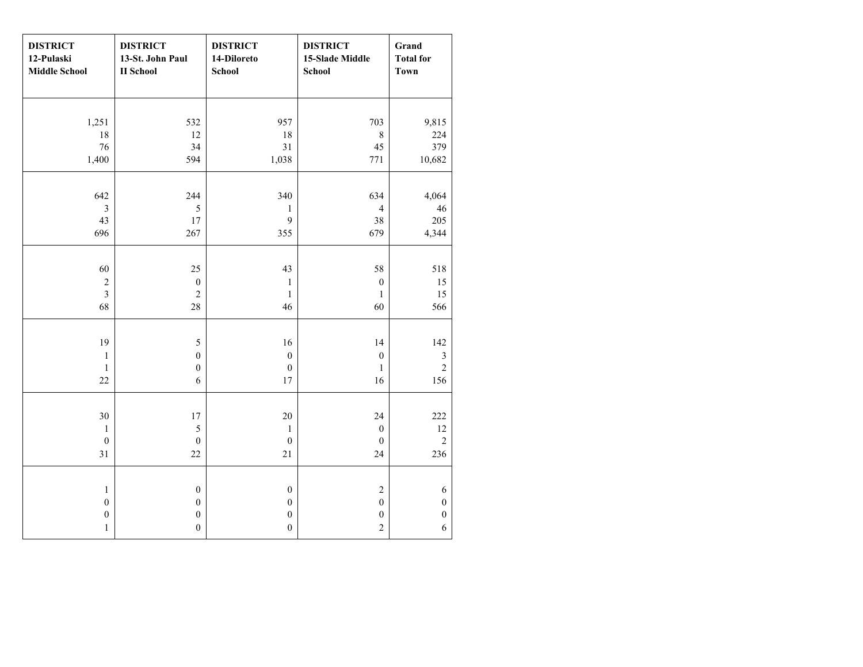| <b>DISTRICT</b><br>12-Pulaski<br><b>Middle School</b> | <b>DISTRICT</b><br>13-St. John Paul<br><b>II</b> School | <b>DISTRICT</b><br>14-Diloreto<br><b>School</b> | <b>DISTRICT</b><br>15-Slade Middle<br>School | Grand<br><b>Total for</b><br><b>Town</b> |
|-------------------------------------------------------|---------------------------------------------------------|-------------------------------------------------|----------------------------------------------|------------------------------------------|
|                                                       |                                                         |                                                 |                                              |                                          |
| 1,251                                                 | 532                                                     | 957                                             | 703                                          | 9,815                                    |
| $18\,$                                                | 12                                                      | $18\,$                                          | $8\,$                                        | 224                                      |
| 76                                                    | 34                                                      | 31                                              | 45                                           | 379                                      |
| 1,400                                                 | 594                                                     | 1,038                                           | 771                                          | 10,682                                   |
|                                                       |                                                         |                                                 |                                              |                                          |
| 642                                                   | 244                                                     | 340                                             | 634                                          | 4,064                                    |
| $\mathfrak{Z}$                                        | 5                                                       | $\mathbf{1}$                                    | $\overline{4}$                               | 46                                       |
| 43                                                    | $17\,$                                                  | 9                                               | $38\,$                                       | 205                                      |
| 696                                                   | 267                                                     | 355                                             | 679                                          | 4,344                                    |
|                                                       |                                                         |                                                 |                                              |                                          |
| 60                                                    | 25                                                      | 43                                              | 58                                           | 518                                      |
| $\sqrt{2}$                                            | $\boldsymbol{0}$                                        | $\,1\,$                                         | $\boldsymbol{0}$                             | 15                                       |
| $\mathfrak{Z}$                                        | $\overline{c}$                                          | $\,1\,$                                         | $\mathbf{1}$                                 | 15                                       |
| 68                                                    | 28                                                      | 46                                              | 60                                           | 566                                      |
|                                                       |                                                         |                                                 |                                              |                                          |
| 19                                                    | 5                                                       | 16                                              | 14                                           | 142                                      |
| $\mathbf{1}$                                          | $\boldsymbol{0}$                                        | $\boldsymbol{0}$                                | $\boldsymbol{0}$                             | $\sqrt{3}$                               |
| $\mathbf{1}$                                          | $\boldsymbol{0}$                                        | $\mathbf{0}$                                    | $\mathbf{1}$                                 | $\overline{c}$                           |
| 22                                                    | 6                                                       | 17                                              | 16                                           | 156                                      |
|                                                       |                                                         |                                                 |                                              |                                          |
| 30                                                    | $17\,$                                                  | $20\,$                                          | 24                                           | 222                                      |
| $\mathbf 1$                                           | 5                                                       | $\,1\,$                                         | $\boldsymbol{0}$                             | $12\,$                                   |
| $\boldsymbol{0}$                                      | $\boldsymbol{0}$                                        | $\boldsymbol{0}$                                | $\boldsymbol{0}$                             | $\sqrt{2}$                               |
| 31                                                    | 22                                                      | 21                                              | 24                                           | 236                                      |
|                                                       |                                                         |                                                 |                                              |                                          |
| $\mathbf{1}$                                          | $\boldsymbol{0}$                                        | $\boldsymbol{0}$                                | $\sqrt{2}$                                   | $\sqrt{6}$                               |
| $\boldsymbol{0}$                                      | $\boldsymbol{0}$                                        | $\boldsymbol{0}$                                | $\boldsymbol{0}$                             | $\boldsymbol{0}$                         |
| $\boldsymbol{0}$                                      | $\boldsymbol{0}$                                        | $\boldsymbol{0}$                                | $\boldsymbol{0}$                             | $\boldsymbol{0}$                         |
| $\mathbf{1}$                                          | $\boldsymbol{0}$                                        | $\boldsymbol{0}$                                | $\overline{c}$                               | 6                                        |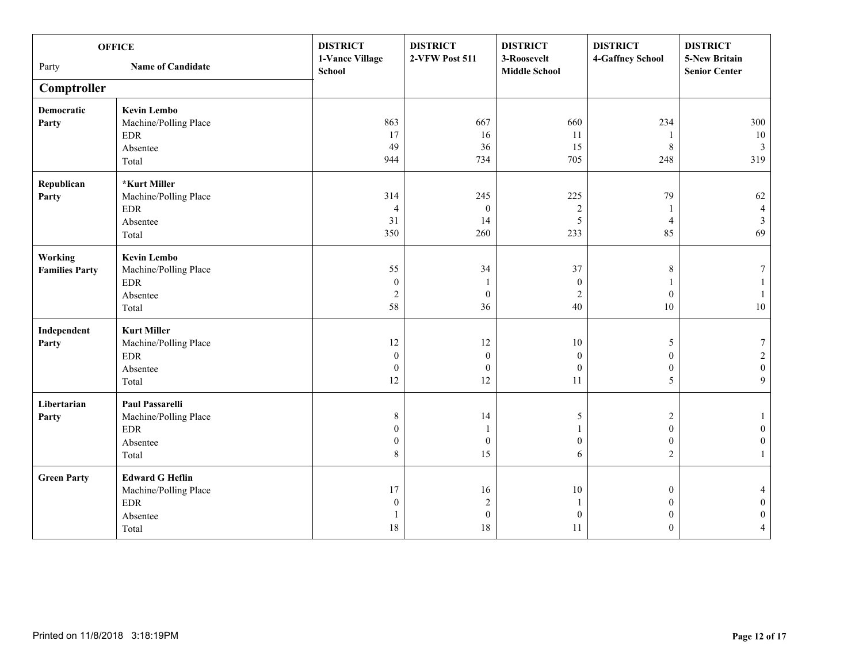| <b>DISTRICT</b><br><b>DISTRICT</b><br><b>DISTRICT</b><br><b>DISTRICT</b><br><b>OFFICE</b>                               |                  | <b>DISTRICT</b>                       |
|-------------------------------------------------------------------------------------------------------------------------|------------------|---------------------------------------|
| 1-Vance Village<br>2-VFW Post 511<br>3-Roosevelt<br><b>Name of Candidate</b><br>Party<br>School<br><b>Middle School</b> | 4-Gaffney School | 5-New Britain<br><b>Senior Center</b> |
| Comptroller                                                                                                             |                  |                                       |
| <b>Democratic</b><br><b>Kevin Lembo</b>                                                                                 |                  |                                       |
| 863<br>667<br>660<br>Machine/Polling Place<br>Party                                                                     | 234              | 300                                   |
| 17<br><b>EDR</b><br>16<br>11                                                                                            |                  | 10                                    |
| 49<br>15<br>36<br>Absentee                                                                                              | $\,$ 8 $\,$      | 3 <sup>7</sup>                        |
| 944<br>734<br>705<br>Total                                                                                              | 248              | 319                                   |
| *Kurt Miller<br>Republican                                                                                              |                  |                                       |
| 314<br>245<br>225<br>Machine/Polling Place<br>Party                                                                     | 79               | 62                                    |
| $\boldsymbol{0}$<br>$\sqrt{2}$<br>$\rm EDR$<br>$\overline{4}$                                                           |                  | $\overline{4}$                        |
| 31<br>14<br>5<br>Absentee                                                                                               | $\overline{4}$   | $\mathfrak{Z}$                        |
| 260<br>350<br>233<br>Total                                                                                              | 85               | 69                                    |
| <b>Kevin Lembo</b><br>Working                                                                                           |                  |                                       |
| 55<br>34<br>37<br><b>Families Party</b><br>Machine/Polling Place                                                        | $\,$ 8 $\,$      | 7                                     |
| $\ensuremath{\mathrm{EDR}}$<br>$\boldsymbol{0}$<br>$\theta$                                                             |                  | $\mathbf{1}$                          |
| $\boldsymbol{0}$<br>$\overline{2}$<br>$\overline{2}$<br>Absentee                                                        | $\boldsymbol{0}$ | $\mathbf{1}$                          |
| 58<br>36<br>40<br>Total                                                                                                 | $10\,$           | $10\,$                                |
| Independent<br><b>Kurt Miller</b>                                                                                       |                  |                                       |
| 12<br>12<br>$10\,$<br>Machine/Polling Place<br>Party                                                                    | 5                | $\tau$                                |
| <b>EDR</b><br>$\boldsymbol{0}$<br>$\boldsymbol{0}$<br>$\mathbf{0}$                                                      | $\overline{0}$   | $\overline{c}$                        |
| $\boldsymbol{0}$<br>$\mathbf{0}$<br>$\mathbf{0}$<br>Absentee                                                            | $\mathbf{0}$     | $\boldsymbol{0}$                      |
| 12<br>12<br>11<br>Total                                                                                                 | 5                | 9                                     |
| Paul Passarelli<br>Libertarian                                                                                          |                  |                                       |
| $\,$ 8 $\,$<br>14<br>5<br>Machine/Polling Place<br>Party                                                                | $\overline{c}$   | $\mathbf{1}$                          |
| $\ensuremath{\mathrm{EDR}}$<br>$\mathbf{0}$<br>-1                                                                       | $\mathbf{0}$     | $\boldsymbol{0}$                      |
| $\mathbf{0}$<br>$\boldsymbol{0}$<br>$\Omega$<br>Absentee                                                                | $\mathbf{0}$     | $\boldsymbol{0}$                      |
| $8\,$<br>15<br>6<br>Total                                                                                               | $\overline{2}$   | $\mathbf{1}$                          |
| <b>Edward G Heflin</b><br><b>Green Party</b>                                                                            |                  |                                       |
| Machine/Polling Place<br>17<br>16<br>$10\,$                                                                             | $\boldsymbol{0}$ | 4                                     |
| $\ensuremath{\mathrm{EDR}}$<br>$\boldsymbol{0}$<br>$\sqrt{2}$                                                           | $\mathbf{0}$     | $\boldsymbol{0}$                      |
| $\boldsymbol{0}$<br>$\boldsymbol{0}$<br>Absentee                                                                        | $\mathbf{0}$     | $\boldsymbol{0}$                      |
| 18<br>$18\,$<br>11<br>Total                                                                                             | $\theta$         | $\overline{4}$                        |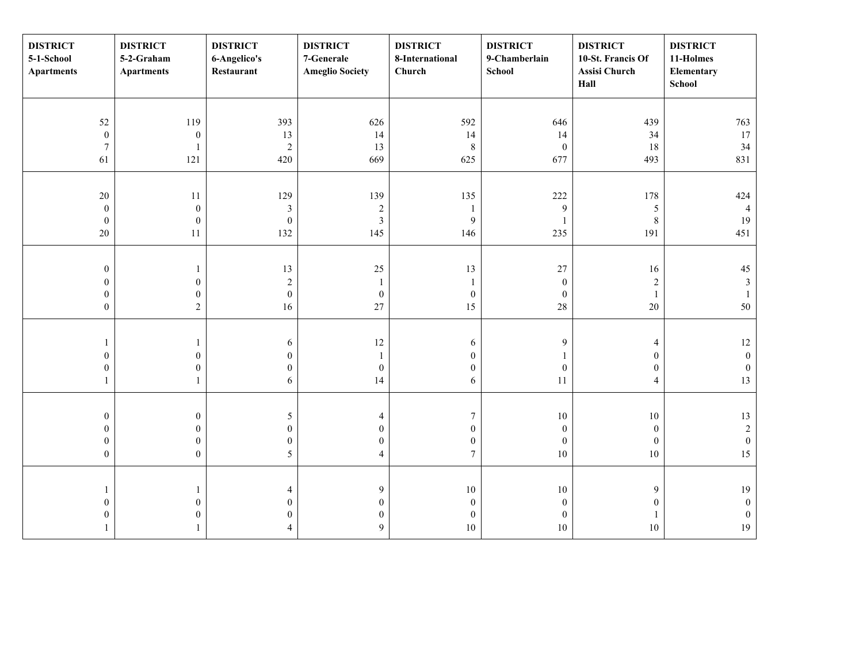| <b>DISTRICT</b><br>5-1-School<br><b>Apartments</b> | <b>DISTRICT</b><br>5-2-Graham<br><b>Apartments</b> | <b>DISTRICT</b><br>6-Angelico's<br>Restaurant | <b>DISTRICT</b><br>7-Generale<br><b>Ameglio Society</b> | <b>DISTRICT</b><br>8-International<br>Church | <b>DISTRICT</b><br>9-Chamberlain<br>School | <b>DISTRICT</b><br>10-St. Francis Of<br>Assisi Church<br>Hall | <b>DISTRICT</b><br>11-Holmes<br>Elementary<br>School |
|----------------------------------------------------|----------------------------------------------------|-----------------------------------------------|---------------------------------------------------------|----------------------------------------------|--------------------------------------------|---------------------------------------------------------------|------------------------------------------------------|
|                                                    |                                                    |                                               |                                                         |                                              |                                            |                                                               |                                                      |
| 52                                                 | 119                                                | 393                                           | 626                                                     | 592                                          | 646                                        | 439                                                           | 763                                                  |
| $\boldsymbol{0}$                                   | $\boldsymbol{0}$                                   | 13                                            | 14                                                      | 14                                           | 14                                         | 34                                                            | 17                                                   |
| $\boldsymbol{7}$                                   | 1                                                  | $\boldsymbol{2}$                              | 13                                                      | $\,8\,$                                      | $\boldsymbol{0}$                           | 18                                                            | 34                                                   |
| 61                                                 | 121                                                | 420                                           | 669                                                     | 625                                          | 677                                        | 493                                                           | 831                                                  |
|                                                    |                                                    |                                               |                                                         |                                              |                                            |                                                               |                                                      |
| $20\,$                                             | $11\,$                                             | 129                                           | 139                                                     | 135                                          | 222                                        | 178                                                           | 424                                                  |
| $\boldsymbol{0}$                                   | $\boldsymbol{0}$                                   | $\mathfrak{Z}$                                | $\sqrt{2}$                                              | $\mathbf{1}$                                 | $\boldsymbol{9}$                           | $\sqrt{5}$                                                    | $\overline{4}$                                       |
| $\boldsymbol{0}$                                   | $\boldsymbol{0}$                                   | $\boldsymbol{0}$                              | $\mathfrak{Z}$                                          | $\mathbf{9}$                                 | $\mathbf{1}$                               | $\,$ 8 $\,$                                                   | 19                                                   |
| $20\,$                                             | $11\,$                                             | 132                                           | 145                                                     | 146                                          | 235                                        | 191                                                           | 451                                                  |
|                                                    |                                                    |                                               |                                                         |                                              |                                            |                                                               |                                                      |
| $\boldsymbol{0}$                                   | $\mathbf{1}$                                       | 13                                            | $25\,$                                                  | 13                                           | $27\,$                                     | 16                                                            | $45\,$                                               |
| $\boldsymbol{0}$                                   | $\boldsymbol{0}$                                   | $\sqrt{2}$                                    | $\mathbf{1}$                                            | 1                                            | $\boldsymbol{0}$                           | $\sqrt{2}$                                                    | $\mathfrak{Z}$                                       |
| $\boldsymbol{0}$                                   | $\boldsymbol{0}$                                   | $\boldsymbol{0}$                              | $\boldsymbol{0}$                                        | $\boldsymbol{0}$                             | $\boldsymbol{0}$                           | $\mathbf{1}$                                                  | 1                                                    |
| $\boldsymbol{0}$                                   | $\overline{2}$                                     | 16                                            | 27                                                      | 15                                           | $28\,$                                     | $20\,$                                                        | $50\,$                                               |
|                                                    |                                                    |                                               |                                                         |                                              |                                            |                                                               |                                                      |
| 1                                                  | $\mathbf{1}$                                       | 6                                             | $12\,$                                                  | 6                                            | 9                                          | $\overline{4}$                                                | $12\,$                                               |
| $\boldsymbol{0}$                                   | $\boldsymbol{0}$                                   | $\mathbf{0}$                                  | $\mathbf{1}$                                            | $\boldsymbol{0}$                             | $\mathbf{1}$                               | $\boldsymbol{0}$                                              | $\boldsymbol{0}$                                     |
| $\boldsymbol{0}$                                   | $\boldsymbol{0}$                                   | $\mathbf{0}$                                  | $\boldsymbol{0}$                                        | $\mathbf{0}$                                 | $\boldsymbol{0}$                           | $\boldsymbol{0}$                                              | $\boldsymbol{0}$                                     |
| $\mathbf{1}$                                       | $\mathbf{1}$                                       | 6                                             | 14                                                      | 6                                            | 11                                         | $\overline{4}$                                                | 13                                                   |
|                                                    |                                                    |                                               |                                                         |                                              |                                            |                                                               |                                                      |
| $\boldsymbol{0}$                                   | $\boldsymbol{0}$                                   | $\sqrt{5}$                                    | $\overline{4}$                                          | $\tau$                                       | 10                                         | $10\,$                                                        | 13                                                   |
| $\boldsymbol{0}$                                   | $\boldsymbol{0}$                                   | $\mathbf{0}$                                  | $\boldsymbol{0}$                                        | $\boldsymbol{0}$                             | $\boldsymbol{0}$                           | $\boldsymbol{0}$                                              | $\sqrt{2}$                                           |
| $\boldsymbol{0}$                                   | $\boldsymbol{0}$                                   | $\boldsymbol{0}$                              | $\boldsymbol{0}$                                        | $\bf{0}$                                     | $\boldsymbol{0}$                           | $\boldsymbol{0}$                                              | $\boldsymbol{0}$                                     |
| $\boldsymbol{0}$                                   | $\boldsymbol{0}$                                   | 5                                             | $\overline{4}$                                          | $\tau$                                       | 10                                         | $10\,$                                                        | 15                                                   |
|                                                    |                                                    |                                               |                                                         |                                              |                                            |                                                               |                                                      |
| $\mathbf{1}$                                       | $\mathbf{1}$                                       | $\overline{4}$                                | $\boldsymbol{9}$                                        | $10\,$                                       | $10\,$                                     | $\mathbf{9}$                                                  | 19                                                   |
| $\boldsymbol{0}$                                   | $\boldsymbol{0}$                                   | $\mathbf{0}$                                  | $\boldsymbol{0}$                                        | $\boldsymbol{0}$                             | $\boldsymbol{0}$                           | $\boldsymbol{0}$                                              | $\boldsymbol{0}$                                     |
| $\boldsymbol{0}$                                   | $\boldsymbol{0}$                                   | $\mathbf{0}$                                  | $\boldsymbol{0}$                                        | $\mathbf{0}$                                 | $\boldsymbol{0}$                           | $\mathbf{1}$                                                  | $\boldsymbol{0}$                                     |
| 1                                                  | $\mathbf{1}$                                       | $\overline{4}$                                | $\mathfrak{g}$                                          | $10\,$                                       | 10                                         | 10                                                            | 19                                                   |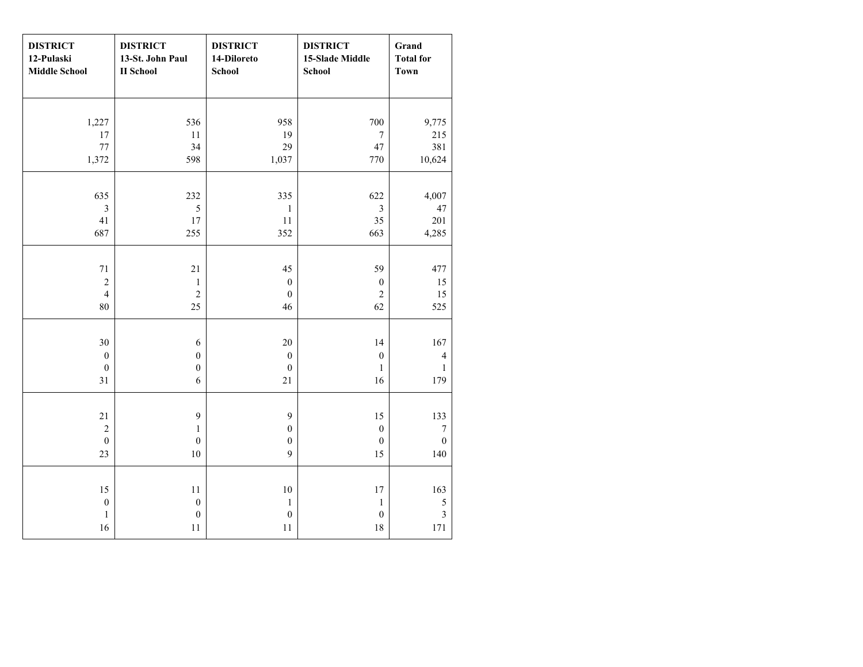| <b>DISTRICT</b><br>12-Pulaski<br><b>Middle School</b> | <b>DISTRICT</b><br>13-St. John Paul<br><b>II</b> School | <b>DISTRICT</b><br>14-Diloreto<br><b>School</b> | <b>DISTRICT</b><br>15-Slade Middle<br><b>School</b> | Grand<br><b>Total for</b><br><b>Town</b> |
|-------------------------------------------------------|---------------------------------------------------------|-------------------------------------------------|-----------------------------------------------------|------------------------------------------|
|                                                       |                                                         |                                                 |                                                     |                                          |
| 1,227                                                 | 536                                                     | 958                                             | 700                                                 | 9,775                                    |
| 17                                                    | $11\,$                                                  | 19                                              | $\tau$                                              | 215                                      |
| 77                                                    | 34                                                      | 29                                              | 47                                                  | 381                                      |
| 1,372                                                 | 598                                                     | 1,037                                           | 770                                                 | 10,624                                   |
|                                                       |                                                         |                                                 |                                                     |                                          |
| 635                                                   | 232                                                     | 335                                             | 622                                                 | 4,007                                    |
| $\overline{3}$                                        | $\sqrt{5}$                                              | $\,1\,$                                         | $\mathfrak{Z}$                                      | $47\,$                                   |
| 41                                                    | $17\,$                                                  | $11\,$                                          | 35                                                  | 201                                      |
| 687                                                   | 255                                                     | 352                                             | 663                                                 | 4,285                                    |
|                                                       |                                                         |                                                 |                                                     |                                          |
| $71\,$                                                | $21\,$                                                  | 45                                              | 59                                                  | 477                                      |
| $\sqrt{2}$                                            | $\mathbf{1}$                                            | $\boldsymbol{0}$                                | $\boldsymbol{0}$                                    | 15                                       |
| $\overline{4}$                                        | $\overline{2}$                                          | $\boldsymbol{0}$                                | $\overline{2}$                                      | 15                                       |
| $80\,$                                                | 25                                                      | 46                                              | 62                                                  | 525                                      |
|                                                       |                                                         |                                                 |                                                     |                                          |
| 30                                                    | $\sqrt{6}$                                              | $20\,$                                          | 14                                                  | 167                                      |
| $\boldsymbol{0}$                                      | $\boldsymbol{0}$                                        | $\boldsymbol{0}$                                | $\boldsymbol{0}$                                    | $\overline{4}$                           |
| $\boldsymbol{0}$                                      | $\boldsymbol{0}$                                        | $\boldsymbol{0}$                                | $\mathbf{1}$                                        | $\mathbf{1}$                             |
| 31                                                    | 6                                                       | 21                                              | 16                                                  | 179                                      |
|                                                       |                                                         |                                                 |                                                     |                                          |
| $21\,$                                                | 9                                                       | 9                                               | 15                                                  | 133                                      |
| $\sqrt{2}$                                            | $\mathbf{1}$                                            | $\boldsymbol{0}$                                | $\boldsymbol{0}$                                    | $\boldsymbol{7}$                         |
| $\boldsymbol{0}$                                      | $\boldsymbol{0}$                                        | $\boldsymbol{0}$                                | $\boldsymbol{0}$                                    | $\boldsymbol{0}$                         |
| 23                                                    | $10\,$                                                  | 9                                               | 15                                                  | 140                                      |
|                                                       |                                                         |                                                 |                                                     |                                          |
| 15                                                    | 11                                                      | $10\,$                                          | 17                                                  | 163                                      |
| $\boldsymbol{0}$                                      | $\boldsymbol{0}$                                        | $\mathbf{1}$                                    | $\mathbf{1}$                                        | $\sqrt{5}$                               |
| $\mathbf{1}$                                          | $\boldsymbol{0}$                                        | $\boldsymbol{0}$                                | $\boldsymbol{0}$                                    | $\overline{\mathbf{3}}$                  |
| 16                                                    | $11\,$                                                  | $11\,$                                          | 18                                                  | 171                                      |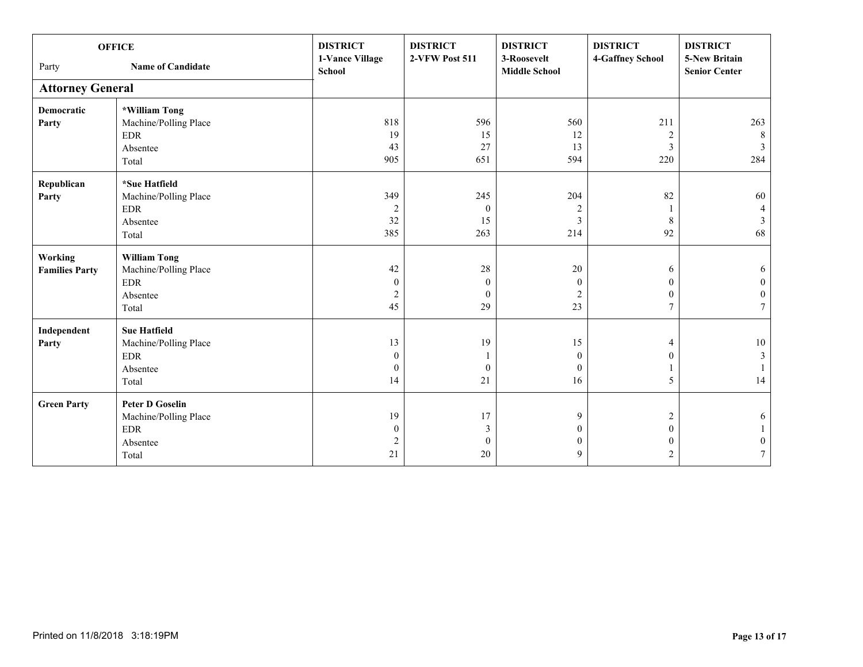|                         | <b>OFFICE</b>            | <b>DISTRICT</b><br>1-Vance Village | <b>DISTRICT</b><br>2-VFW Post 511 | <b>DISTRICT</b><br>3-Roosevelt | <b>DISTRICT</b><br>4-Gaffney School | <b>DISTRICT</b><br><b>5-New Britain</b> |
|-------------------------|--------------------------|------------------------------------|-----------------------------------|--------------------------------|-------------------------------------|-----------------------------------------|
| Party                   | <b>Name of Candidate</b> | School                             |                                   | <b>Middle School</b>           |                                     | <b>Senior Center</b>                    |
| <b>Attorney General</b> |                          |                                    |                                   |                                |                                     |                                         |
| <b>Democratic</b>       | *William Tong            |                                    |                                   |                                |                                     |                                         |
| Party                   | Machine/Polling Place    | 818                                | 596                               | 560                            | 211                                 | 263                                     |
|                         | <b>EDR</b>               | 19                                 | 15                                | 12                             | 2                                   | 8                                       |
|                         | Absentee                 | 43                                 | 27                                | 13                             | 3                                   | $\overline{3}$                          |
|                         | Total                    | 905                                | 651                               | 594                            | 220                                 | 284                                     |
| Republican              | *Sue Hatfield            |                                    |                                   |                                |                                     |                                         |
| Party                   | Machine/Polling Place    | 349                                | 245                               | 204                            | 82                                  | 60                                      |
|                         | <b>EDR</b>               | $\overline{c}$                     | $\boldsymbol{0}$                  | $\overline{c}$                 |                                     | 4                                       |
|                         | Absentee                 | 32                                 | 15                                | 3                              | 8                                   | $\mathfrak{Z}$                          |
|                         | Total                    | 385                                | 263                               | 214                            | 92                                  | 68                                      |
| <b>Working</b>          | <b>William Tong</b>      |                                    |                                   |                                |                                     |                                         |
| <b>Families Party</b>   | Machine/Polling Place    | 42                                 | 28                                | 20                             | 6                                   | 6                                       |
|                         | <b>EDR</b>               | $\mathbf{0}$                       | $\boldsymbol{0}$                  | $\theta$                       | $\Omega$                            | $\overline{0}$                          |
|                         | Absentee                 | $\overline{2}$                     | $\mathbf{0}$                      | $\overline{2}$                 | $\mathbf{0}$                        | $\mathbf{0}$                            |
|                         | Total                    | 45                                 | 29                                | 23                             | 7                                   | 7                                       |
| Independent             | <b>Sue Hatfield</b>      |                                    |                                   |                                |                                     |                                         |
| Party                   | Machine/Polling Place    | 13                                 | 19                                | 15                             | 4                                   | $10\,$                                  |
|                         | <b>EDR</b>               | $\mathbf{0}$                       |                                   | $\theta$                       | $\theta$                            | $\mathfrak{Z}$                          |
|                         | Absentee                 | $\boldsymbol{0}$                   | $\mathbf{0}$                      | $\mathbf{0}$                   |                                     |                                         |
|                         | Total                    | 14                                 | 21                                | 16                             | 5                                   | 14                                      |
| <b>Green Party</b>      | <b>Peter D Goselin</b>   |                                    |                                   |                                |                                     |                                         |
|                         | Machine/Polling Place    | 19                                 | 17                                | 9                              | 2                                   | 6                                       |
|                         | <b>EDR</b>               | $\mathbf{0}$                       | $\mathfrak{Z}$                    | $\Omega$                       | $\Omega$                            |                                         |
|                         | Absentee                 | $\overline{2}$                     | $\boldsymbol{0}$                  | 0                              | $\mathbf{0}$                        | 0                                       |
|                         | Total                    | 21                                 | 20                                | 9                              | 2                                   | $\overline{7}$                          |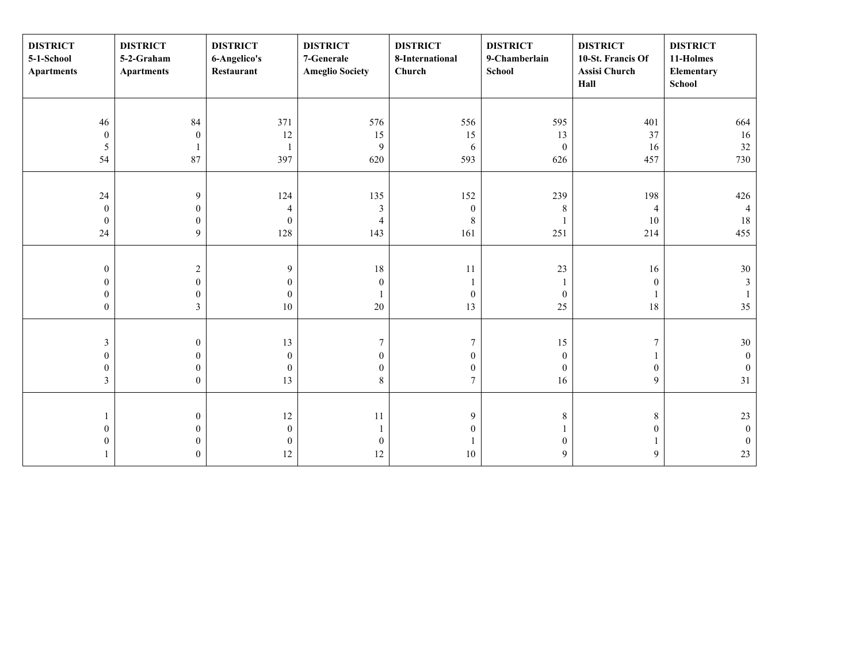| <b>DISTRICT</b><br>5-1-School<br><b>Apartments</b> | <b>DISTRICT</b><br>5-2-Graham<br><b>Apartments</b> | <b>DISTRICT</b><br>6-Angelico's<br>Restaurant | <b>DISTRICT</b><br>7-Generale<br><b>Ameglio Society</b> | <b>DISTRICT</b><br>8-International<br>Church | <b>DISTRICT</b><br>9-Chamberlain<br><b>School</b> | <b>DISTRICT</b><br>10-St. Francis Of<br>Assisi Church<br>Hall | <b>DISTRICT</b><br>11-Holmes<br>Elementary<br>School |
|----------------------------------------------------|----------------------------------------------------|-----------------------------------------------|---------------------------------------------------------|----------------------------------------------|---------------------------------------------------|---------------------------------------------------------------|------------------------------------------------------|
|                                                    |                                                    |                                               |                                                         |                                              |                                                   |                                                               |                                                      |
| 46                                                 | 84                                                 | 371                                           | 576                                                     | 556                                          | 595                                               | 401                                                           | 664                                                  |
| $\bf{0}$                                           | $\boldsymbol{0}$                                   | 12                                            | 15                                                      | 15                                           | 13                                                | 37                                                            | 16                                                   |
| $\mathfrak s$                                      |                                                    |                                               | 9                                                       | $\sqrt{6}$                                   | $\boldsymbol{0}$                                  | 16                                                            | 32                                                   |
| 54                                                 | 87                                                 | 397                                           | 620                                                     | 593                                          | 626                                               | 457                                                           | 730                                                  |
|                                                    |                                                    |                                               |                                                         |                                              |                                                   |                                                               |                                                      |
| $24\,$                                             | $\mathbf{9}$                                       | 124                                           | 135                                                     | 152                                          | 239                                               | 198                                                           | 426                                                  |
| $\boldsymbol{0}$                                   | $\boldsymbol{0}$                                   | 4                                             | $\mathfrak z$                                           | $\boldsymbol{0}$                             | 8                                                 | $\overline{4}$                                                | $\overline{4}$                                       |
| $\mathbf{0}$                                       | $\boldsymbol{0}$                                   | $\mathbf{0}$                                  | $\overline{4}$                                          | $8\,$                                        |                                                   | 10                                                            | 18                                                   |
| 24                                                 | 9                                                  | 128                                           | 143                                                     | 161                                          | 251                                               | 214                                                           | 455                                                  |
|                                                    |                                                    |                                               |                                                         |                                              |                                                   |                                                               |                                                      |
| $\boldsymbol{0}$                                   | $\sqrt{2}$                                         | 9                                             | $18\,$                                                  | $11\,$                                       | $23\,$                                            | 16                                                            | 30                                                   |
| $\mathbf{0}$                                       | $\boldsymbol{0}$                                   | $\theta$                                      | $\mathbf{0}$                                            |                                              | 1                                                 | $\mathbf{0}$                                                  | $\mathfrak{Z}$                                       |
| $\boldsymbol{0}$                                   | $\boldsymbol{0}$                                   | $\mathbf{0}$                                  | 1                                                       | $\boldsymbol{0}$                             | $\boldsymbol{0}$                                  |                                                               |                                                      |
| $\boldsymbol{0}$                                   | $\overline{\mathbf{3}}$                            | 10                                            | $20\,$                                                  | 13                                           | 25                                                | $18\,$                                                        | 35                                                   |
|                                                    |                                                    |                                               |                                                         |                                              |                                                   |                                                               |                                                      |
| $\mathfrak{Z}$                                     | $\boldsymbol{0}$                                   | 13                                            | 7                                                       | 7                                            | 15                                                | 7                                                             | $30\,$                                               |
| $\boldsymbol{0}$                                   | $\boldsymbol{0}$                                   | $\boldsymbol{0}$                              | $\mathbf{0}$                                            | $\boldsymbol{0}$                             | $\boldsymbol{0}$                                  |                                                               | $\boldsymbol{0}$                                     |
| $\boldsymbol{0}$                                   | $\boldsymbol{0}$                                   | $\mathbf{0}$                                  | $\boldsymbol{0}$                                        | $\boldsymbol{0}$                             | $\boldsymbol{0}$                                  | $\boldsymbol{0}$                                              | $\mathbf{0}$                                         |
| 3                                                  | $\overline{0}$                                     | 13                                            | $8\,$                                                   | $\overline{7}$                               | 16                                                | $\mathbf{9}$                                                  | 31                                                   |
|                                                    |                                                    |                                               |                                                         |                                              |                                                   |                                                               |                                                      |
|                                                    | $\boldsymbol{0}$                                   | $12\,$                                        | $11\,$                                                  | 9                                            | 8                                                 | $\,8\,$                                                       | 23                                                   |
| $\boldsymbol{0}$                                   | $\boldsymbol{0}$                                   | $\mathbf{0}$                                  | 1                                                       | $\boldsymbol{0}$                             |                                                   | $\boldsymbol{0}$                                              | $\boldsymbol{0}$                                     |
| $\boldsymbol{0}$                                   | $\mathbf{0}$                                       | $\boldsymbol{0}$                              | $\boldsymbol{0}$                                        |                                              | $\mathbf{0}$                                      |                                                               | $\boldsymbol{0}$                                     |
|                                                    | $\overline{0}$                                     | 12                                            | 12                                                      | $10\,$                                       | 9                                                 | 9                                                             | $23\,$                                               |
|                                                    |                                                    |                                               |                                                         |                                              |                                                   |                                                               |                                                      |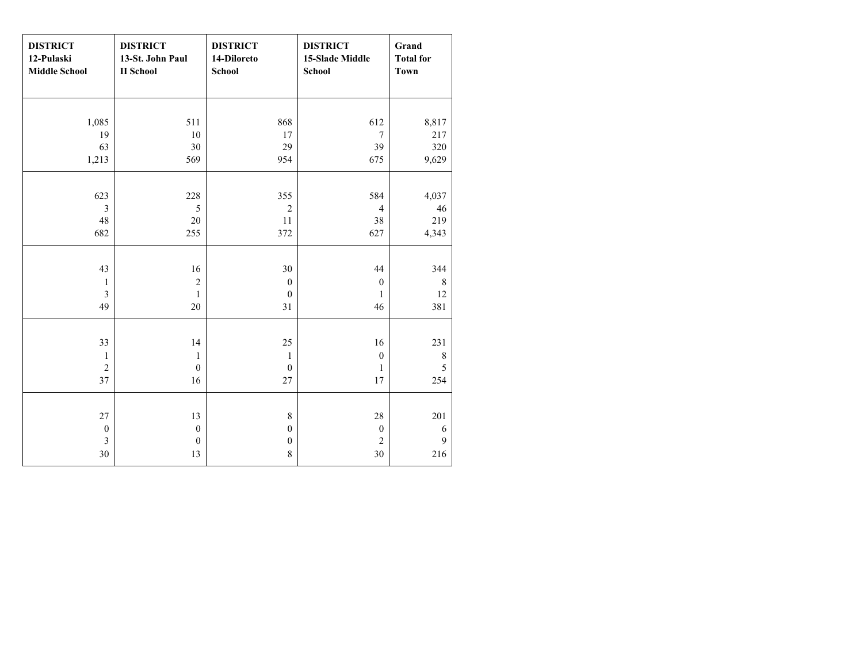| <b>DISTRICT</b><br>12-Pulaski<br><b>Middle School</b> | <b>DISTRICT</b><br>13-St. John Paul<br><b>II</b> School | <b>DISTRICT</b><br>14-Diloreto<br><b>School</b> | <b>DISTRICT</b><br><b>15-Slade Middle</b><br><b>School</b> | Grand<br><b>Total for</b><br><b>Town</b> |
|-------------------------------------------------------|---------------------------------------------------------|-------------------------------------------------|------------------------------------------------------------|------------------------------------------|
|                                                       |                                                         |                                                 |                                                            |                                          |
| 1,085                                                 | 511                                                     | 868                                             | 612                                                        | 8,817                                    |
| 19                                                    | 10                                                      | 17                                              | $\overline{7}$                                             | 217                                      |
| 63                                                    | 30                                                      | 29                                              | 39                                                         | 320                                      |
| 1,213                                                 | 569                                                     | 954                                             | 675                                                        | 9,629                                    |
|                                                       |                                                         |                                                 |                                                            |                                          |
| 623                                                   | 228                                                     | 355                                             | 584                                                        | 4,037                                    |
| 3                                                     | 5                                                       | $\overline{2}$                                  | $\overline{4}$                                             | 46                                       |
| 48                                                    | 20                                                      | 11                                              | 38                                                         | 219                                      |
| 682                                                   | 255                                                     | 372                                             | 627                                                        | 4,343                                    |
|                                                       |                                                         |                                                 |                                                            |                                          |
| 43                                                    | 16                                                      | 30                                              | 44                                                         | 344                                      |
| $\mathbf{1}$                                          | $\overline{c}$                                          | $\boldsymbol{0}$                                | $\boldsymbol{0}$                                           | $\,$ 8 $\,$                              |
| $\overline{3}$                                        | $\mathbf{1}$                                            | $\boldsymbol{0}$                                | $\mathbf{1}$                                               | 12                                       |
| 49                                                    | 20                                                      | 31                                              | 46                                                         | 381                                      |
|                                                       |                                                         |                                                 |                                                            |                                          |
| 33                                                    | 14                                                      | 25                                              | 16                                                         | 231                                      |
| 1                                                     | $\mathbf{1}$                                            | $\mathbf{1}$                                    | $\boldsymbol{0}$                                           | $\,$ 8 $\,$                              |
| $\overline{2}$                                        | $\boldsymbol{0}$                                        | $\boldsymbol{0}$                                | $\mathbf{1}$                                               | $\sqrt{5}$                               |
| 37                                                    | 16                                                      | 27                                              | 17                                                         | 254                                      |
|                                                       |                                                         |                                                 |                                                            |                                          |
| 27                                                    | 13                                                      | $8\,$                                           | 28                                                         | 201                                      |
| $\boldsymbol{0}$                                      | $\boldsymbol{0}$                                        | $\boldsymbol{0}$                                | $\boldsymbol{0}$                                           | 6                                        |
| $\overline{\mathbf{3}}$                               | $\boldsymbol{0}$                                        | $\boldsymbol{0}$                                | $\sqrt{2}$                                                 | $\mathbf{Q}$                             |
| 30                                                    | 13                                                      | $\,8\,$                                         | 30                                                         | 216                                      |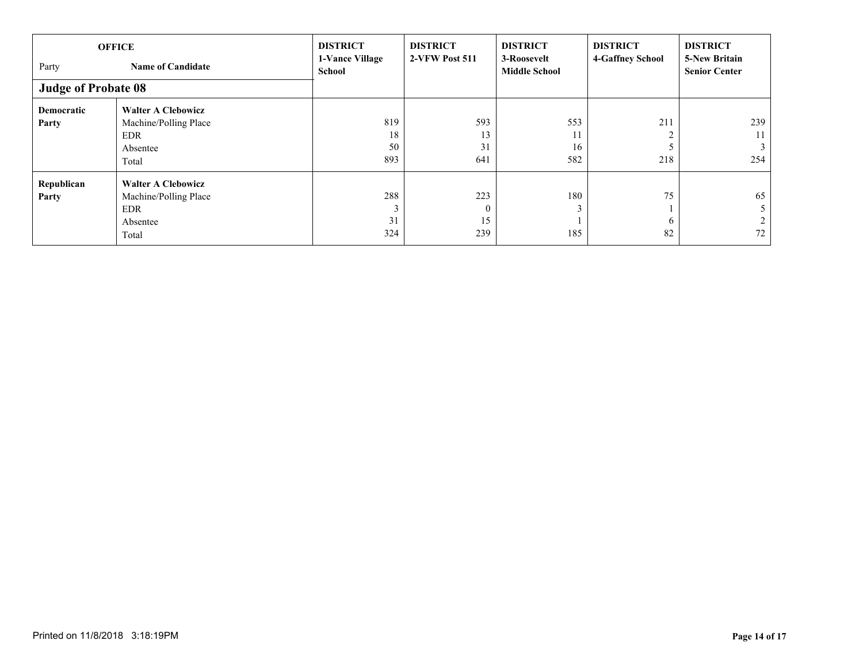| <b>OFFICE</b>              |                           | <b>DISTRICT</b>                  | <b>DISTRICT</b> | <b>DISTRICT</b>                     | <b>DISTRICT</b>  | <b>DISTRICT</b>                              |
|----------------------------|---------------------------|----------------------------------|-----------------|-------------------------------------|------------------|----------------------------------------------|
| Party                      | <b>Name of Candidate</b>  | 1-Vance Village<br><b>School</b> | 2-VFW Post 511  | 3-Roosevelt<br><b>Middle School</b> | 4-Gaffney School | <b>5-New Britain</b><br><b>Senior Center</b> |
| <b>Judge of Probate 08</b> |                           |                                  |                 |                                     |                  |                                              |
| Democratic                 | <b>Walter A Clebowicz</b> |                                  |                 |                                     |                  |                                              |
| Party                      | Machine/Polling Place     | 819                              | 593             | 553                                 | 211              | 239                                          |
|                            | <b>EDR</b>                | 18                               | 13              | 11                                  |                  | $11-1$                                       |
|                            | Absentee                  | 50                               | 31              | 16                                  |                  | 3 <sup>1</sup>                               |
|                            | Total                     | 893                              | 641             | 582                                 | 218              | 254                                          |
| Republican                 | <b>Walter A Clebowicz</b> |                                  |                 |                                     |                  |                                              |
| Party                      | Machine/Polling Place     | 288                              | 223             | 180                                 | 75               | 65                                           |
|                            | <b>EDR</b>                |                                  | $\theta$        |                                     |                  |                                              |
|                            | Absentee                  | 31                               | 15              |                                     | <sub>0</sub>     |                                              |
|                            | Total                     | 324                              | 239             | 185                                 | 82               | 72                                           |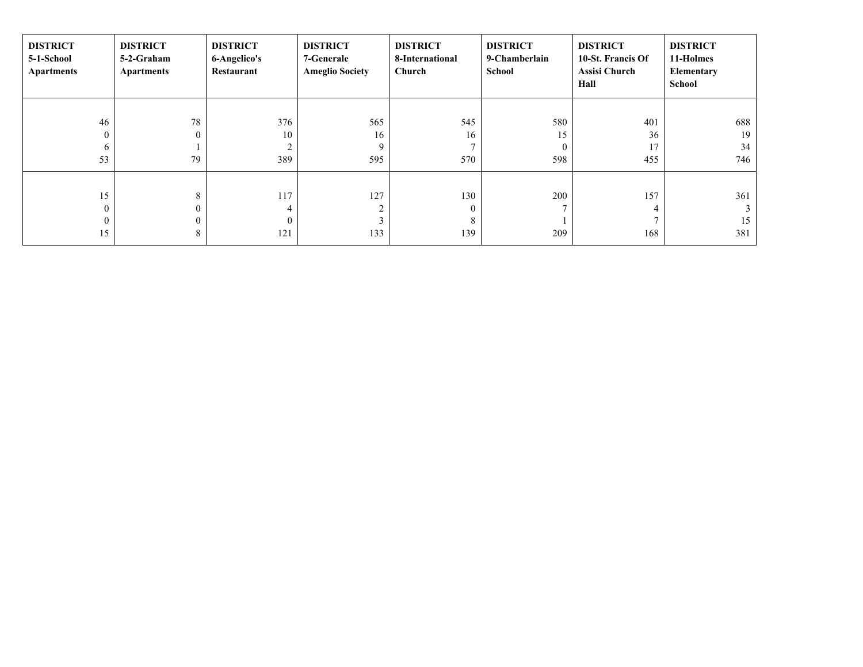| <b>DISTRICT</b><br>5-1-School<br><b>Apartments</b> | <b>DISTRICT</b><br>5-2-Graham<br><b>Apartments</b> | <b>DISTRICT</b><br>6-Angelico's<br>Restaurant | <b>DISTRICT</b><br>7-Generale<br><b>Ameglio Society</b> | <b>DISTRICT</b><br>8-International<br>Church | <b>DISTRICT</b><br>9-Chamberlain<br>School | <b>DISTRICT</b><br>10-St. Francis Of<br><b>Assisi Church</b><br>Hall | <b>DISTRICT</b><br>11-Holmes<br>Elementary<br>School |
|----------------------------------------------------|----------------------------------------------------|-----------------------------------------------|---------------------------------------------------------|----------------------------------------------|--------------------------------------------|----------------------------------------------------------------------|------------------------------------------------------|
| 46                                                 | 78                                                 | 376                                           | 565                                                     | 545                                          | 580                                        | 401                                                                  | 688                                                  |
| $\mathbf{0}$                                       | $\Omega$                                           | 10                                            | 16                                                      | 16                                           | 15                                         | 36                                                                   | 19                                                   |
| 6                                                  |                                                    | $\overline{2}$                                | 9                                                       |                                              | $\Omega$                                   | 17                                                                   | 34                                                   |
| 53                                                 | 79                                                 | 389                                           | 595                                                     | 570                                          | 598                                        | 455                                                                  | 746                                                  |
|                                                    |                                                    |                                               |                                                         |                                              |                                            |                                                                      |                                                      |
| 15                                                 | 8                                                  | 117                                           | 127                                                     | 130                                          | 200                                        | 157                                                                  | 361                                                  |
| $\theta$                                           |                                                    | 4                                             | $\overline{2}$                                          | $\theta$                                     |                                            | 4                                                                    |                                                      |
|                                                    |                                                    |                                               | 3                                                       | 8                                            |                                            |                                                                      | 15                                                   |
| 15                                                 | 8                                                  | 121                                           | 133                                                     | 139                                          | 209                                        | 168                                                                  | 381                                                  |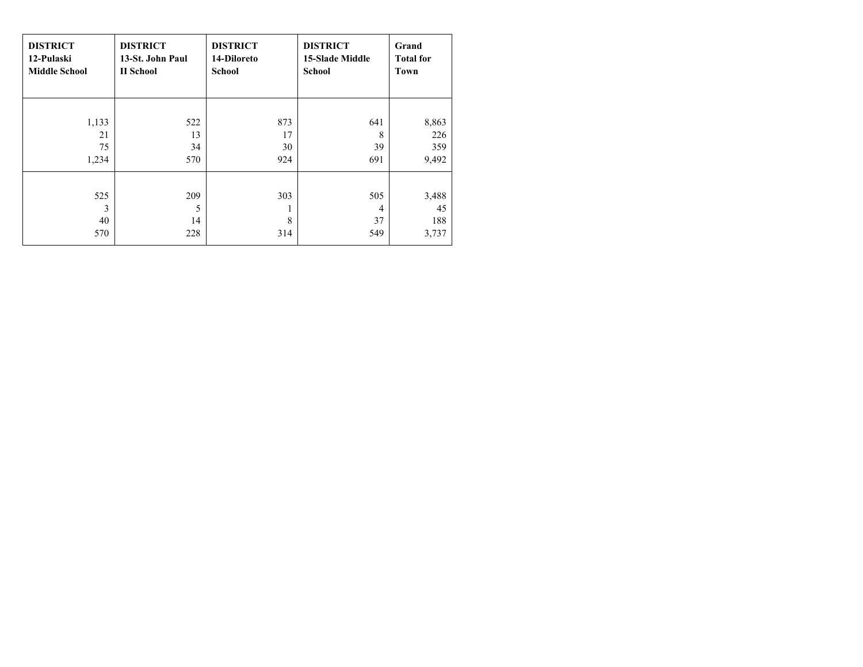| <b>DISTRICT</b>       | <b>DISTRICT</b>       | <b>DISTRICT</b> | <b>DISTRICT</b>        | Grand                       |
|-----------------------|-----------------------|-----------------|------------------------|-----------------------------|
| 12-Pulaski            | 13-St. John Paul      | 14-Diloreto     | <b>15-Slade Middle</b> | <b>Total for</b>            |
| <b>Middle School</b>  | II School             | <b>School</b>   | <b>School</b>          | Town                        |
| 1,133                 | 522                   | 873             | 641                    | 8,863                       |
| 21                    | 13                    | 17              | 8                      | 226                         |
| 75                    | 34                    | 30              | 39                     | 359                         |
| 1,234                 | 570                   | 924             | 691                    | 9,492                       |
| 525<br>3<br>40<br>570 | 209<br>5<br>14<br>228 | 303<br>8<br>314 | 505<br>4<br>37<br>549  | 3,488<br>45<br>188<br>3,737 |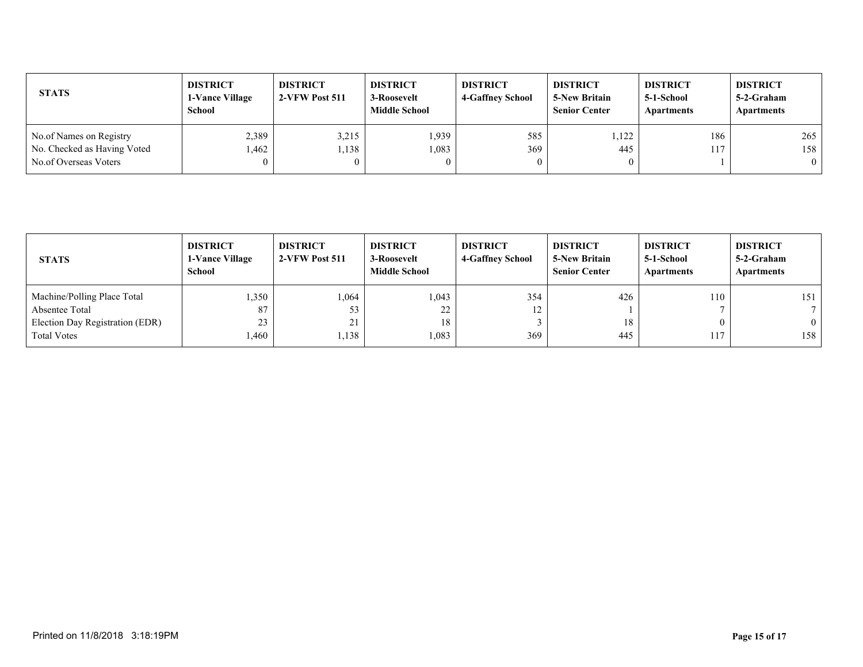| <b>STATS</b>                                           | <b>DISTRICT</b><br><b>1-Vance Village</b><br><b>School</b> | <b>DISTRICT</b><br>2-VFW Post 511 | <b>DISTRICT</b><br>3-Roosevelt<br><b>Middle School</b> | <b>DISTRICT</b><br><b>4-Gaffney School</b> | <b>DISTRICT</b><br><b>5-New Britain</b><br><b>Senior Center</b> | <b>DISTRICT</b><br>5-1-School<br>Apartments | <b>DISTRICT</b><br>5-2-Graham<br>Apartments |
|--------------------------------------------------------|------------------------------------------------------------|-----------------------------------|--------------------------------------------------------|--------------------------------------------|-----------------------------------------------------------------|---------------------------------------------|---------------------------------------------|
| No.of Names on Registry<br>No. Checked as Having Voted | 2,389<br>.462                                              | 3,215<br>.138                     | 1,939<br>1,083                                         | 585<br>369                                 | .122<br>445                                                     | 186<br>117                                  | 265<br>158                                  |
| No.of Overseas Voters                                  | $\theta$                                                   |                                   |                                                        | $\mathbf{0}$                               |                                                                 |                                             | $\theta$                                    |

| <b>STATS</b>                    | <b>DISTRICT</b><br><b>1-Vance Village</b><br>School | <b>DISTRICT</b><br>2-VFW Post 511 | <b>DISTRICT</b><br>3-Roosevelt<br><b>Middle School</b> | <b>DISTRICT</b><br>4-Gaffney School | <b>DISTRICT</b><br><b>5-New Britain</b><br><b>Senior Center</b> | <b>DISTRICT</b><br>5-1-School<br>Apartments | <b>DISTRICT</b><br>5-2-Graham<br><b>Apartments</b> |
|---------------------------------|-----------------------------------------------------|-----------------------------------|--------------------------------------------------------|-------------------------------------|-----------------------------------------------------------------|---------------------------------------------|----------------------------------------------------|
| Machine/Polling Place Total     | 1,350                                               | .064                              | 1,043                                                  | 354                                 | 426                                                             | 110                                         | 151                                                |
| Absentee Total                  | 87                                                  | 53                                | 22                                                     | 12                                  |                                                                 |                                             |                                                    |
| Election Day Registration (EDR) | 23                                                  | 21                                | 18                                                     |                                     | 18                                                              |                                             | $\mathbf{0}$                                       |
| <b>Total Votes</b>              | 1,460                                               | .138                              | 1,083                                                  | 369                                 | 445                                                             | 117                                         | 158                                                |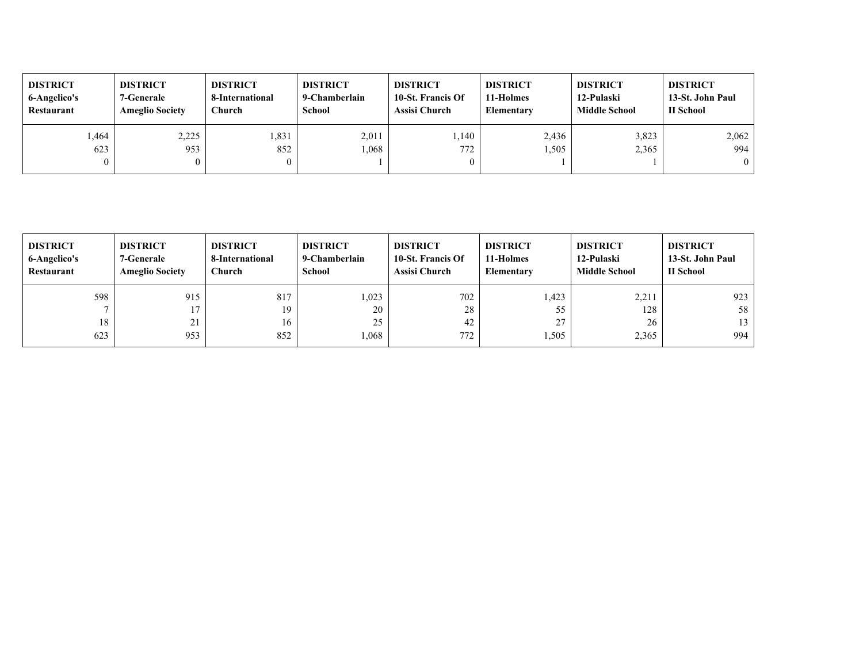| <b>DISTRICT</b><br>6-Angelico's<br>Restaurant | <b>DISTRICT</b><br>7-Generale<br><b>Ameglio Society</b> | <b>DISTRICT</b><br>8-International<br>Church | <b>DISTRICT</b><br>9-Chamberlain<br><b>School</b> | <b>DISTRICT</b><br>10-St. Francis Of<br><b>Assisi Church</b> | <b>DISTRICT</b><br>11-Holmes<br>Elementary | <b>DISTRICT</b><br>12-Pulaski<br><b>Middle School</b> | <b>DISTRICT</b><br>13-St. John Paul<br>II School |
|-----------------------------------------------|---------------------------------------------------------|----------------------------------------------|---------------------------------------------------|--------------------------------------------------------------|--------------------------------------------|-------------------------------------------------------|--------------------------------------------------|
| .464                                          | 2,225                                                   | .331                                         | 2,011                                             | .140                                                         | 2,436                                      | 3,823                                                 | 2,062                                            |
| 623                                           | 953                                                     | 852                                          | .068                                              | 772                                                          | .505                                       | 2,365                                                 | 994                                              |
| $\mathbf{0}$                                  |                                                         |                                              |                                                   |                                                              |                                            |                                                       | $\theta$                                         |

| <b>DISTRICT</b><br>6-Angelico's<br>Restaurant | <b>DISTRICT</b><br>7-Generale<br><b>Ameglio Society</b> | <b>DISTRICT</b><br>8-International<br><b>Church</b> | <b>DISTRICT</b><br>9-Chamberlain<br><b>School</b> | <b>DISTRICT</b><br>10-St. Francis Of<br>Assisi Church | <b>DISTRICT</b><br>11-Holmes<br><b>Elementary</b> | <b>DISTRICT</b><br>12-Pulaski<br><b>Middle School</b> | <b>DISTRICT</b><br>13-St. John Paul<br>II School |
|-----------------------------------------------|---------------------------------------------------------|-----------------------------------------------------|---------------------------------------------------|-------------------------------------------------------|---------------------------------------------------|-------------------------------------------------------|--------------------------------------------------|
| 598                                           | 915                                                     | 817                                                 | 1,023                                             | 702                                                   | l.423                                             | 2,211                                                 | 923                                              |
| $\overline{ }$                                | 17                                                      | 19                                                  | 20                                                | 28                                                    | 55                                                | 128                                                   | 58                                               |
| 18                                            | 21                                                      | 16                                                  | 25                                                | 42                                                    | 27                                                | 26                                                    | 13                                               |
| 623                                           | 953                                                     | 852                                                 | .068                                              | 772                                                   | 1,505                                             | 2,365                                                 | 994                                              |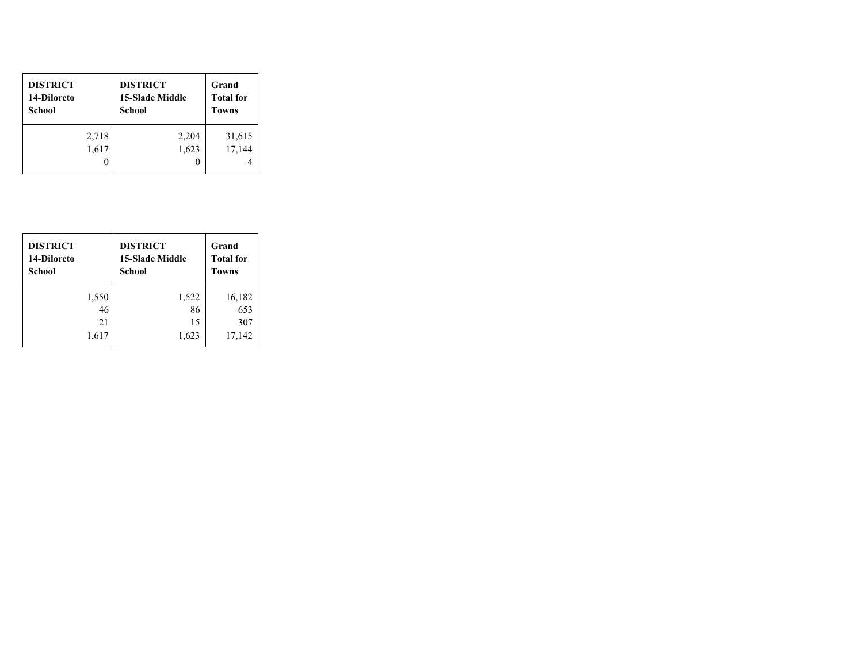| <b>DISTRICT</b><br>14-Diloreto<br>School | <b>DISTRICT</b><br><b>15-Slade Middle</b><br>School | Grand<br><b>Total for</b><br><b>Towns</b> |
|------------------------------------------|-----------------------------------------------------|-------------------------------------------|
| 2,718                                    | 2,204                                               | 31,615                                    |
| 1,617                                    | 1,623                                               | 17,144                                    |
|                                          |                                                     |                                           |

| <b>DISTRICT</b><br>14-Diloreto<br><b>School</b> | <b>DISTRICT</b><br><b>15-Slade Middle</b><br><b>School</b> | Grand<br><b>Total for</b><br><b>Towns</b> |
|-------------------------------------------------|------------------------------------------------------------|-------------------------------------------|
| 1,550                                           | 1,522                                                      | 16,182                                    |
| 46                                              | 86                                                         | 653                                       |
| 21                                              | 15                                                         | 307                                       |
| 1,617                                           | 1,623                                                      | 17,142                                    |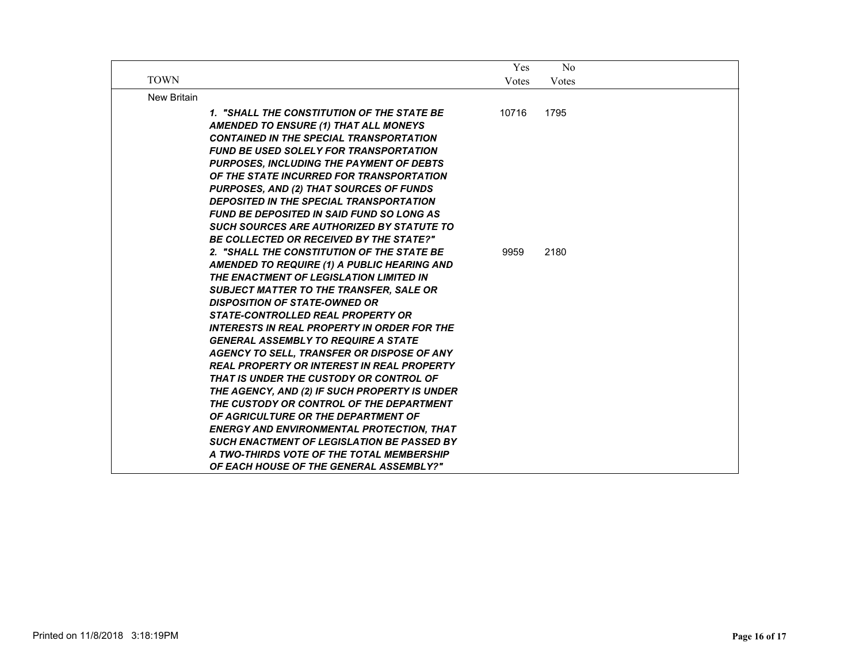|                    |                                                                                                                                                                                                                                                                                                                                                                                                                                                                                                                                                                                                                                                                                                                                                                                                                                                                                                                                                                                                                                                                                                                                                                                                                                                                                    | Yes           | $\rm No$     |  |
|--------------------|------------------------------------------------------------------------------------------------------------------------------------------------------------------------------------------------------------------------------------------------------------------------------------------------------------------------------------------------------------------------------------------------------------------------------------------------------------------------------------------------------------------------------------------------------------------------------------------------------------------------------------------------------------------------------------------------------------------------------------------------------------------------------------------------------------------------------------------------------------------------------------------------------------------------------------------------------------------------------------------------------------------------------------------------------------------------------------------------------------------------------------------------------------------------------------------------------------------------------------------------------------------------------------|---------------|--------------|--|
| <b>TOWN</b>        |                                                                                                                                                                                                                                                                                                                                                                                                                                                                                                                                                                                                                                                                                                                                                                                                                                                                                                                                                                                                                                                                                                                                                                                                                                                                                    | Votes         | Votes        |  |
| <b>New Britain</b> |                                                                                                                                                                                                                                                                                                                                                                                                                                                                                                                                                                                                                                                                                                                                                                                                                                                                                                                                                                                                                                                                                                                                                                                                                                                                                    |               |              |  |
|                    | 1. "SHALL THE CONSTITUTION OF THE STATE BE<br><b>AMENDED TO ENSURE (1) THAT ALL MONEYS</b><br><b>CONTAINED IN THE SPECIAL TRANSPORTATION</b><br><b>FUND BE USED SOLELY FOR TRANSPORTATION</b><br><b>PURPOSES, INCLUDING THE PAYMENT OF DEBTS</b><br>OF THE STATE INCURRED FOR TRANSPORTATION<br><b>PURPOSES, AND (2) THAT SOURCES OF FUNDS</b><br><b>DEPOSITED IN THE SPECIAL TRANSPORTATION</b><br><b>FUND BE DEPOSITED IN SAID FUND SO LONG AS</b><br><b>SUCH SOURCES ARE AUTHORIZED BY STATUTE TO</b><br><b>BE COLLECTED OR RECEIVED BY THE STATE?"</b><br>2. "SHALL THE CONSTITUTION OF THE STATE BE<br>AMENDED TO REQUIRE (1) A PUBLIC HEARING AND<br>THE ENACTMENT OF LEGISLATION LIMITED IN<br><b>SUBJECT MATTER TO THE TRANSFER, SALE OR</b><br><b>DISPOSITION OF STATE-OWNED OR</b><br><b>STATE-CONTROLLED REAL PROPERTY OR</b><br><b>INTERESTS IN REAL PROPERTY IN ORDER FOR THE</b><br><b>GENERAL ASSEMBLY TO REQUIRE A STATE</b><br>AGENCY TO SELL, TRANSFER OR DISPOSE OF ANY<br><b>REAL PROPERTY OR INTEREST IN REAL PROPERTY</b><br>THAT IS UNDER THE CUSTODY OR CONTROL OF<br>THE AGENCY, AND (2) IF SUCH PROPERTY IS UNDER<br>THE CUSTODY OR CONTROL OF THE DEPARTMENT<br>OF AGRICULTURE OR THE DEPARTMENT OF<br><b>ENERGY AND ENVIRONMENTAL PROTECTION. THAT</b> | 10716<br>9959 | 1795<br>2180 |  |
|                    | <b>SUCH ENACTMENT OF LEGISLATION BE PASSED BY</b>                                                                                                                                                                                                                                                                                                                                                                                                                                                                                                                                                                                                                                                                                                                                                                                                                                                                                                                                                                                                                                                                                                                                                                                                                                  |               |              |  |
|                    | A TWO-THIRDS VOTE OF THE TOTAL MEMBERSHIP<br>OF EACH HOUSE OF THE GENERAL ASSEMBLY?"                                                                                                                                                                                                                                                                                                                                                                                                                                                                                                                                                                                                                                                                                                                                                                                                                                                                                                                                                                                                                                                                                                                                                                                               |               |              |  |